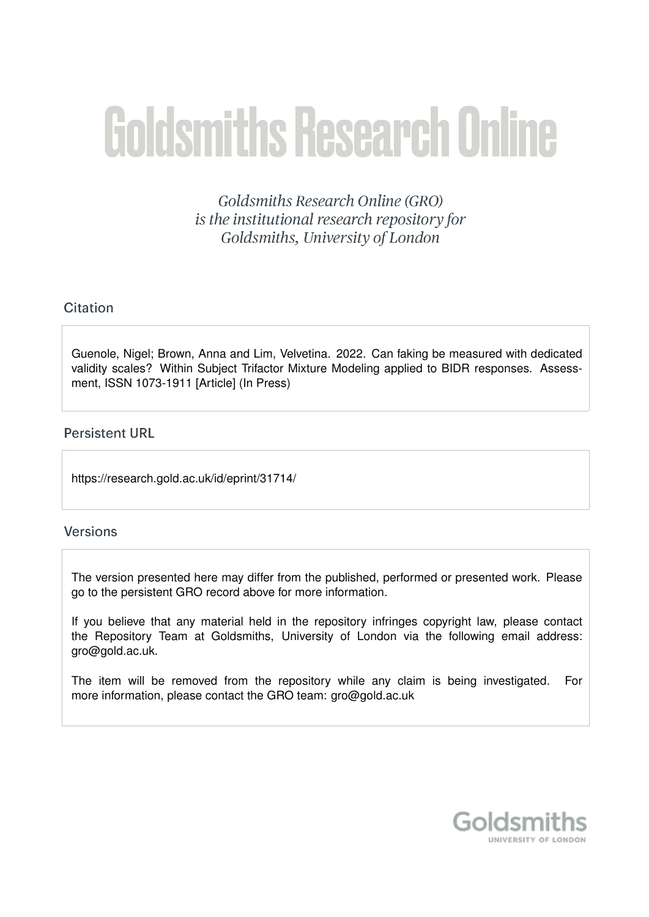# **Goldsmiths Research Online**

Goldsmiths Research Online (GRO) is the institutional research repository for Goldsmiths, University of London

# Citation

Guenole, Nigel; Brown, Anna and Lim, Velvetina. 2022. Can faking be measured with dedicated validity scales? Within Subject Trifactor Mixture Modeling applied to BIDR responses. Assessment, ISSN 1073-1911 [Article] (In Press)

# **Persistent URL**

https://research.gold.ac.uk/id/eprint/31714/

# **Versions**

The version presented here may differ from the published, performed or presented work. Please go to the persistent GRO record above for more information.

If you believe that any material held in the repository infringes copyright law, please contact the Repository Team at Goldsmiths, University of London via the following email address: gro@gold.ac.uk.

The item will be removed from the repository while any claim is being investigated. For more information, please contact the GRO team: gro@gold.ac.uk

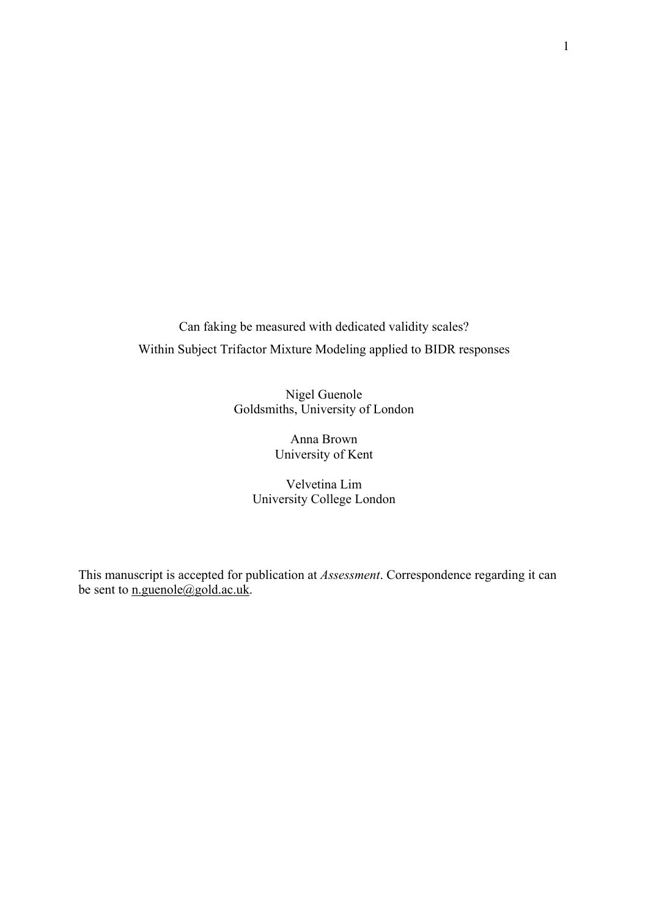Can faking be measured with dedicated validity scales? Within Subject Trifactor Mixture Modeling applied to BIDR responses

> Nigel Guenole Goldsmiths, University of London

> > Anna Brown University of Kent

Velvetina Lim University College London

This manuscript is accepted for publication at *Assessment*. Correspondence regarding it can be sent to  $\underline{\text{n.guenole}(\text{dgold.ac.uk})}$ .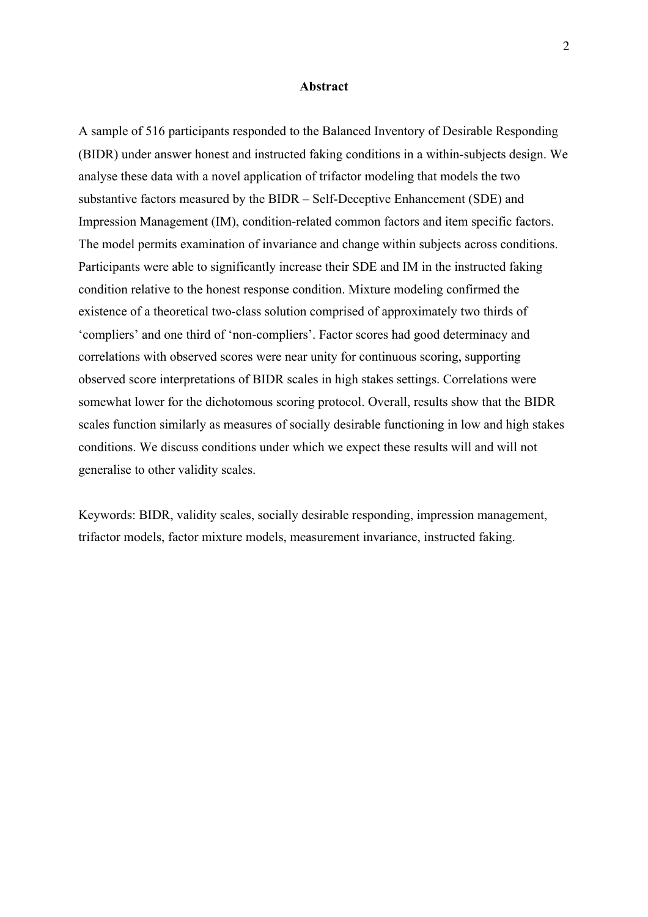#### **Abstract**

A sample of 516 participants responded to the Balanced Inventory of Desirable Responding (BIDR) under answer honest and instructed faking conditions in a within-subjects design. We analyse these data with a novel application of trifactor modeling that models the two substantive factors measured by the BIDR – Self-Deceptive Enhancement (SDE) and Impression Management (IM), condition-related common factors and item specific factors. The model permits examination of invariance and change within subjects across conditions. Participants were able to significantly increase their SDE and IM in the instructed faking condition relative to the honest response condition. Mixture modeling confirmed the existence of a theoretical two-class solution comprised of approximately two thirds of 'compliers' and one third of 'non-compliers'. Factor scores had good determinacy and correlations with observed scores were near unity for continuous scoring, supporting observed score interpretations of BIDR scales in high stakes settings. Correlations were somewhat lower for the dichotomous scoring protocol. Overall, results show that the BIDR scales function similarly as measures of socially desirable functioning in low and high stakes conditions. We discuss conditions under which we expect these results will and will not generalise to other validity scales.

Keywords: BIDR, validity scales, socially desirable responding, impression management, trifactor models, factor mixture models, measurement invariance, instructed faking.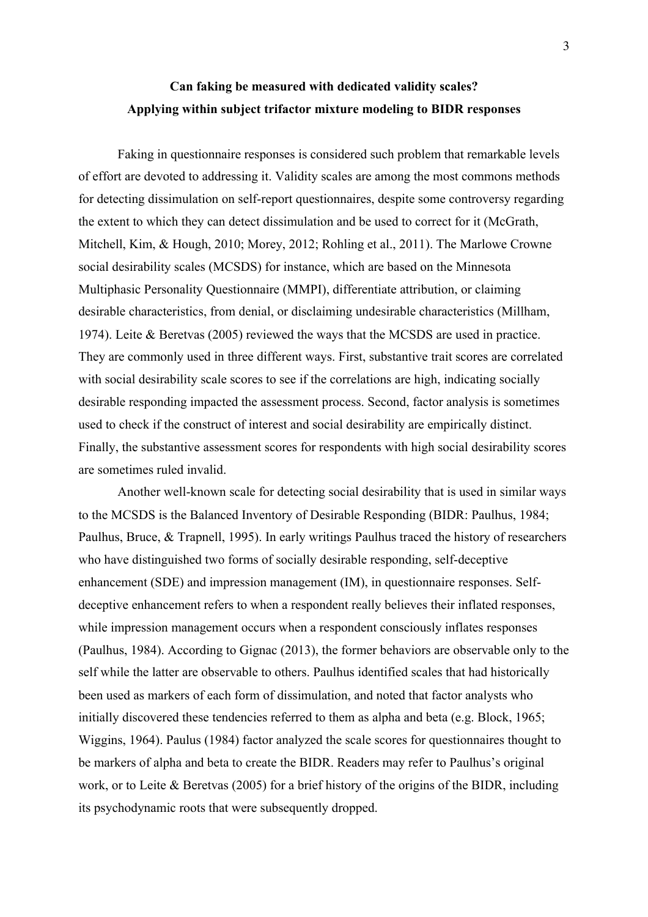# **Can faking be measured with dedicated validity scales? Applying within subject trifactor mixture modeling to BIDR responses**

Faking in questionnaire responses is considered such problem that remarkable levels of effort are devoted to addressing it. Validity scales are among the most commons methods for detecting dissimulation on self-report questionnaires, despite some controversy regarding the extent to which they can detect dissimulation and be used to correct for it (McGrath, Mitchell, Kim, & Hough, 2010; Morey, 2012; Rohling et al., 2011). The Marlowe Crowne social desirability scales (MCSDS) for instance, which are based on the Minnesota Multiphasic Personality Questionnaire (MMPI), differentiate attribution, or claiming desirable characteristics, from denial, or disclaiming undesirable characteristics (Millham, 1974). Leite & Beretvas (2005) reviewed the ways that the MCSDS are used in practice. They are commonly used in three different ways. First, substantive trait scores are correlated with social desirability scale scores to see if the correlations are high, indicating socially desirable responding impacted the assessment process. Second, factor analysis is sometimes used to check if the construct of interest and social desirability are empirically distinct. Finally, the substantive assessment scores for respondents with high social desirability scores are sometimes ruled invalid.

Another well-known scale for detecting social desirability that is used in similar ways to the MCSDS is the Balanced Inventory of Desirable Responding (BIDR: Paulhus, 1984; Paulhus, Bruce, & Trapnell, 1995). In early writings Paulhus traced the history of researchers who have distinguished two forms of socially desirable responding, self-deceptive enhancement (SDE) and impression management (IM), in questionnaire responses. Selfdeceptive enhancement refers to when a respondent really believes their inflated responses, while impression management occurs when a respondent consciously inflates responses (Paulhus, 1984). According to Gignac (2013), the former behaviors are observable only to the self while the latter are observable to others. Paulhus identified scales that had historically been used as markers of each form of dissimulation, and noted that factor analysts who initially discovered these tendencies referred to them as alpha and beta (e.g. Block, 1965; Wiggins, 1964). Paulus (1984) factor analyzed the scale scores for questionnaires thought to be markers of alpha and beta to create the BIDR. Readers may refer to Paulhus's original work, or to Leite & Beretvas (2005) for a brief history of the origins of the BIDR, including its psychodynamic roots that were subsequently dropped.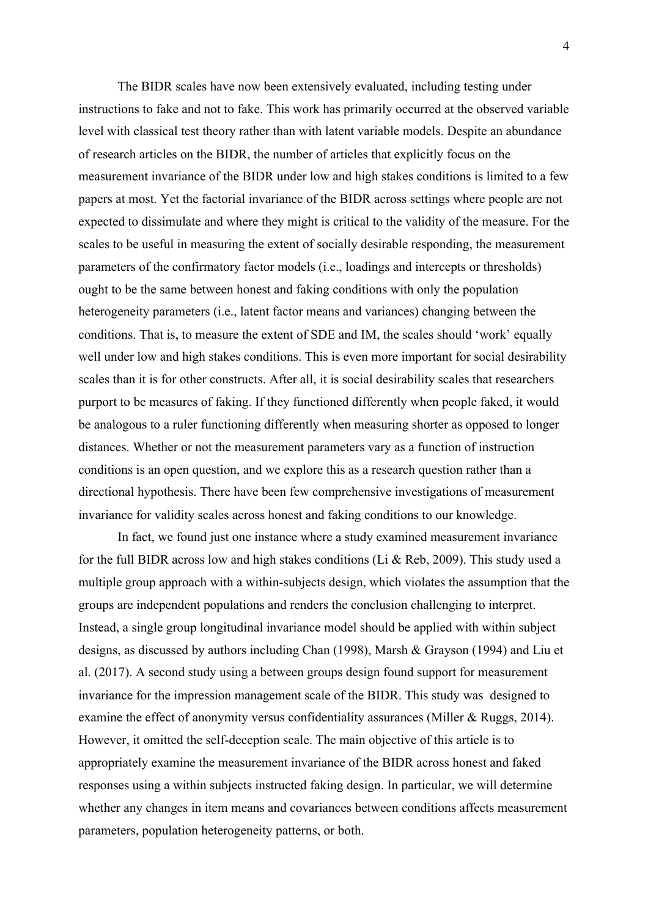The BIDR scales have now been extensively evaluated, including testing under instructions to fake and not to fake. This work has primarily occurred at the observed variable level with classical test theory rather than with latent variable models. Despite an abundance of research articles on the BIDR, the number of articles that explicitly focus on the measurement invariance of the BIDR under low and high stakes conditions is limited to a few papers at most. Yet the factorial invariance of the BIDR across settings where people are not expected to dissimulate and where they might is critical to the validity of the measure. For the scales to be useful in measuring the extent of socially desirable responding, the measurement parameters of the confirmatory factor models (i.e., loadings and intercepts or thresholds) ought to be the same between honest and faking conditions with only the population heterogeneity parameters (i.e., latent factor means and variances) changing between the conditions. That is, to measure the extent of SDE and IM, the scales should 'work' equally well under low and high stakes conditions. This is even more important for social desirability scales than it is for other constructs. After all, it is social desirability scales that researchers purport to be measures of faking. If they functioned differently when people faked, it would be analogous to a ruler functioning differently when measuring shorter as opposed to longer distances. Whether or not the measurement parameters vary as a function of instruction conditions is an open question, and we explore this as a research question rather than a directional hypothesis. There have been few comprehensive investigations of measurement invariance for validity scales across honest and faking conditions to our knowledge.

In fact, we found just one instance where a study examined measurement invariance for the full BIDR across low and high stakes conditions (Li & Reb, 2009). This study used a multiple group approach with a within-subjects design, which violates the assumption that the groups are independent populations and renders the conclusion challenging to interpret. Instead, a single group longitudinal invariance model should be applied with within subject designs, as discussed by authors including Chan (1998), Marsh & Grayson (1994) and Liu et al. (2017). A second study using a between groups design found support for measurement invariance for the impression management scale of the BIDR. This study was designed to examine the effect of anonymity versus confidentiality assurances (Miller & Ruggs, 2014). However, it omitted the self-deception scale. The main objective of this article is to appropriately examine the measurement invariance of the BIDR across honest and faked responses using a within subjects instructed faking design. In particular, we will determine whether any changes in item means and covariances between conditions affects measurement parameters, population heterogeneity patterns, or both.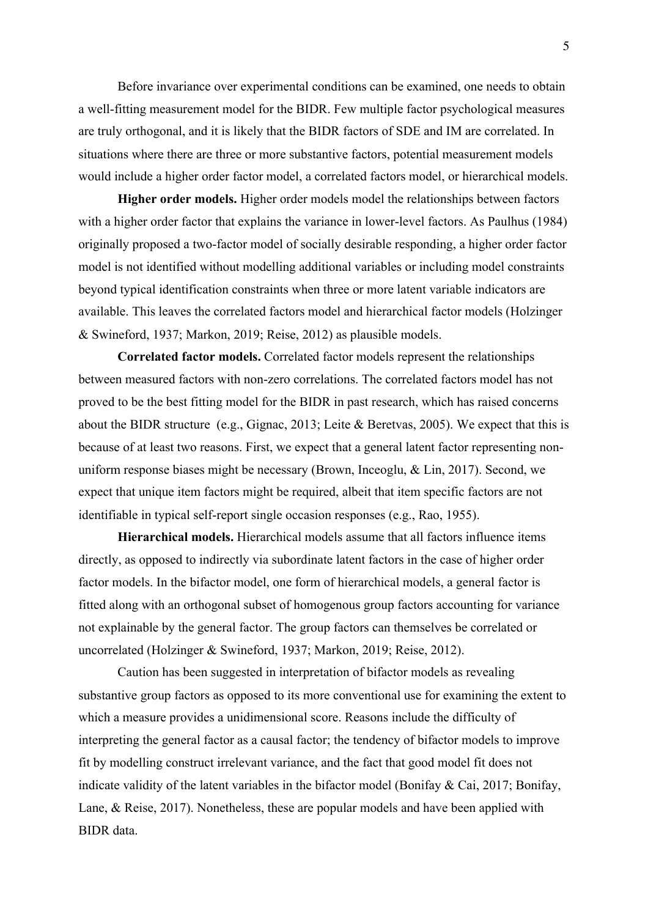Before invariance over experimental conditions can be examined, one needs to obtain a well-fitting measurement model for the BIDR. Few multiple factor psychological measures are truly orthogonal, and it is likely that the BIDR factors of SDE and IM are correlated. In situations where there are three or more substantive factors, potential measurement models would include a higher order factor model, a correlated factors model, or hierarchical models.

**Higher order models.** Higher order models model the relationships between factors with a higher order factor that explains the variance in lower-level factors. As Paulhus (1984) originally proposed a two-factor model of socially desirable responding, a higher order factor model is not identified without modelling additional variables or including model constraints beyond typical identification constraints when three or more latent variable indicators are available. This leaves the correlated factors model and hierarchical factor models (Holzinger & Swineford, 1937; Markon, 2019; Reise, 2012) as plausible models.

**Correlated factor models.** Correlated factor models represent the relationships between measured factors with non-zero correlations. The correlated factors model has not proved to be the best fitting model for the BIDR in past research, which has raised concerns about the BIDR structure (e.g., Gignac, 2013; Leite & Beretvas, 2005). We expect that this is because of at least two reasons. First, we expect that a general latent factor representing nonuniform response biases might be necessary (Brown, Inceoglu, & Lin, 2017). Second, we expect that unique item factors might be required, albeit that item specific factors are not identifiable in typical self-report single occasion responses (e.g., Rao, 1955).

**Hierarchical models.** Hierarchical models assume that all factors influence items directly, as opposed to indirectly via subordinate latent factors in the case of higher order factor models. In the bifactor model, one form of hierarchical models, a general factor is fitted along with an orthogonal subset of homogenous group factors accounting for variance not explainable by the general factor. The group factors can themselves be correlated or uncorrelated (Holzinger & Swineford, 1937; Markon, 2019; Reise, 2012).

Caution has been suggested in interpretation of bifactor models as revealing substantive group factors as opposed to its more conventional use for examining the extent to which a measure provides a unidimensional score. Reasons include the difficulty of interpreting the general factor as a causal factor; the tendency of bifactor models to improve fit by modelling construct irrelevant variance, and the fact that good model fit does not indicate validity of the latent variables in the bifactor model (Bonifay & Cai, 2017; Bonifay, Lane, & Reise, 2017). Nonetheless, these are popular models and have been applied with BIDR data.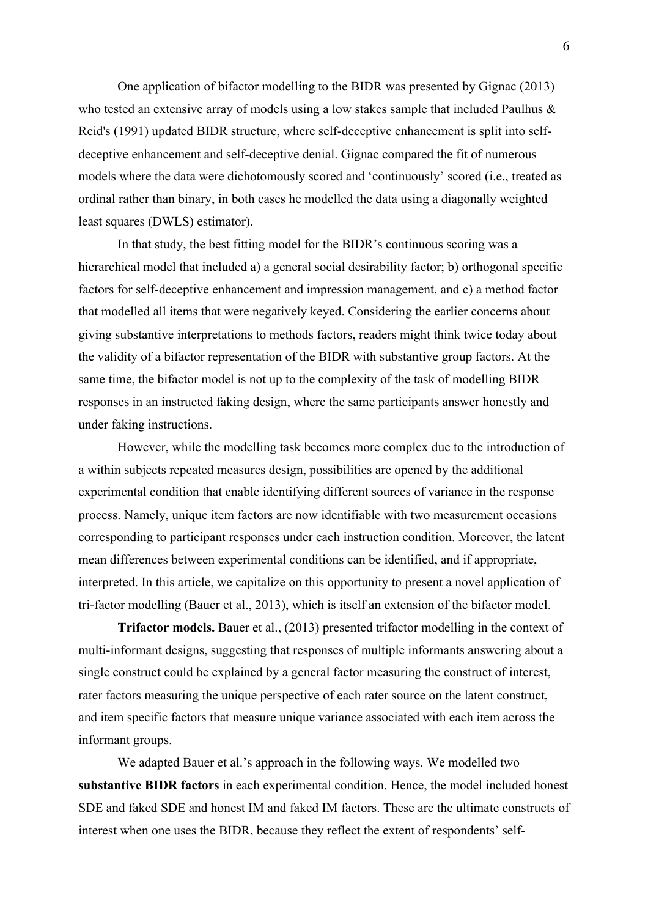One application of bifactor modelling to the BIDR was presented by Gignac (2013) who tested an extensive array of models using a low stakes sample that included Paulhus & Reid's (1991) updated BIDR structure, where self-deceptive enhancement is split into selfdeceptive enhancement and self-deceptive denial. Gignac compared the fit of numerous models where the data were dichotomously scored and 'continuously' scored (i.e., treated as ordinal rather than binary, in both cases he modelled the data using a diagonally weighted least squares (DWLS) estimator).

In that study, the best fitting model for the BIDR's continuous scoring was a hierarchical model that included a) a general social desirability factor; b) orthogonal specific factors for self-deceptive enhancement and impression management, and c) a method factor that modelled all items that were negatively keyed. Considering the earlier concerns about giving substantive interpretations to methods factors, readers might think twice today about the validity of a bifactor representation of the BIDR with substantive group factors. At the same time, the bifactor model is not up to the complexity of the task of modelling BIDR responses in an instructed faking design, where the same participants answer honestly and under faking instructions.

However, while the modelling task becomes more complex due to the introduction of a within subjects repeated measures design, possibilities are opened by the additional experimental condition that enable identifying different sources of variance in the response process. Namely, unique item factors are now identifiable with two measurement occasions corresponding to participant responses under each instruction condition. Moreover, the latent mean differences between experimental conditions can be identified, and if appropriate, interpreted. In this article, we capitalize on this opportunity to present a novel application of tri-factor modelling (Bauer et al., 2013), which is itself an extension of the bifactor model.

**Trifactor models.** Bauer et al., (2013) presented trifactor modelling in the context of multi-informant designs, suggesting that responses of multiple informants answering about a single construct could be explained by a general factor measuring the construct of interest, rater factors measuring the unique perspective of each rater source on the latent construct, and item specific factors that measure unique variance associated with each item across the informant groups.

We adapted Bauer et al.'s approach in the following ways. We modelled two **substantive BIDR factors** in each experimental condition. Hence, the model included honest SDE and faked SDE and honest IM and faked IM factors. These are the ultimate constructs of interest when one uses the BIDR, because they reflect the extent of respondents' self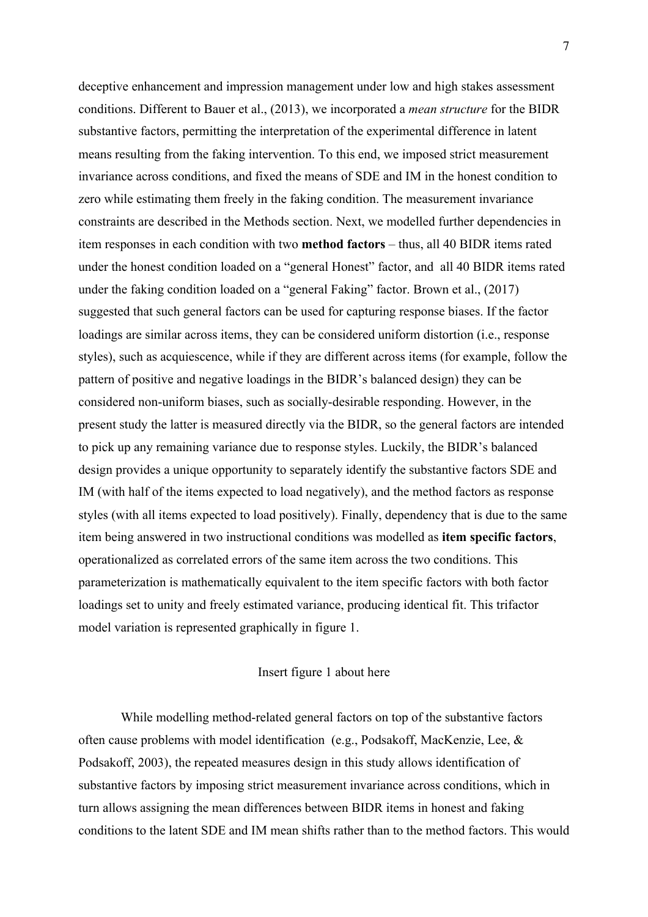deceptive enhancement and impression management under low and high stakes assessment conditions. Different to Bauer et al., (2013), we incorporated a *mean structure* for the BIDR substantive factors, permitting the interpretation of the experimental difference in latent means resulting from the faking intervention. To this end, we imposed strict measurement invariance across conditions, and fixed the means of SDE and IM in the honest condition to zero while estimating them freely in the faking condition. The measurement invariance constraints are described in the Methods section. Next, we modelled further dependencies in item responses in each condition with two **method factors** – thus, all 40 BIDR items rated under the honest condition loaded on a "general Honest" factor, and all 40 BIDR items rated under the faking condition loaded on a "general Faking" factor. Brown et al., (2017) suggested that such general factors can be used for capturing response biases. If the factor loadings are similar across items, they can be considered uniform distortion (i.e., response styles), such as acquiescence, while if they are different across items (for example, follow the pattern of positive and negative loadings in the BIDR's balanced design) they can be considered non-uniform biases, such as socially-desirable responding. However, in the present study the latter is measured directly via the BIDR, so the general factors are intended to pick up any remaining variance due to response styles. Luckily, the BIDR's balanced design provides a unique opportunity to separately identify the substantive factors SDE and IM (with half of the items expected to load negatively), and the method factors as response styles (with all items expected to load positively). Finally, dependency that is due to the same item being answered in two instructional conditions was modelled as **item specific factors**, operationalized as correlated errors of the same item across the two conditions. This parameterization is mathematically equivalent to the item specific factors with both factor loadings set to unity and freely estimated variance, producing identical fit. This trifactor model variation is represented graphically in figure 1.

# Insert figure 1 about here

While modelling method-related general factors on top of the substantive factors often cause problems with model identification (e.g., Podsakoff, MacKenzie, Lee, & Podsakoff, 2003), the repeated measures design in this study allows identification of substantive factors by imposing strict measurement invariance across conditions, which in turn allows assigning the mean differences between BIDR items in honest and faking conditions to the latent SDE and IM mean shifts rather than to the method factors. This would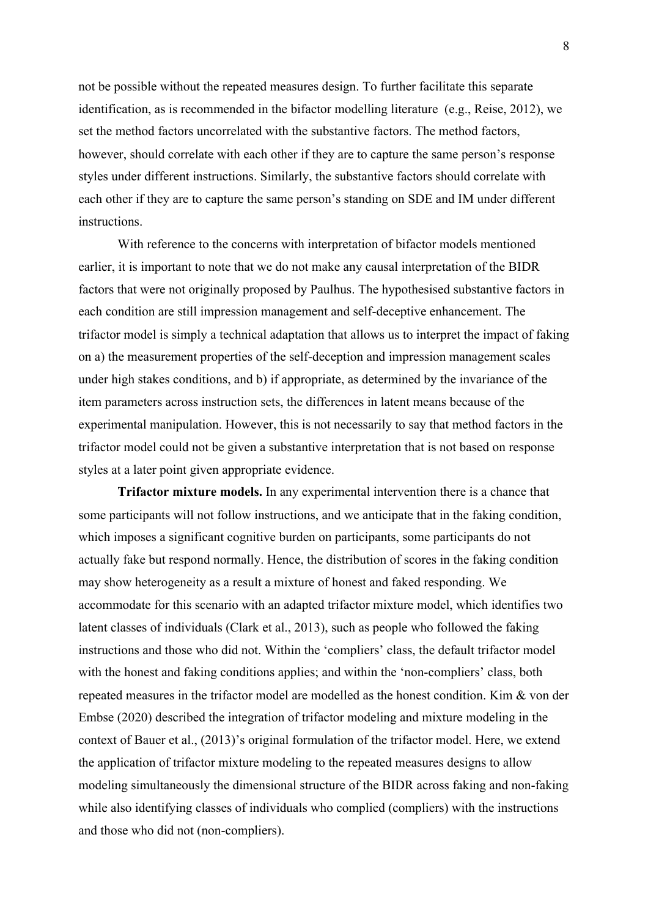not be possible without the repeated measures design. To further facilitate this separate identification, as is recommended in the bifactor modelling literature (e.g., Reise, 2012), we set the method factors uncorrelated with the substantive factors. The method factors, however, should correlate with each other if they are to capture the same person's response styles under different instructions. Similarly, the substantive factors should correlate with each other if they are to capture the same person's standing on SDE and IM under different instructions.

With reference to the concerns with interpretation of bifactor models mentioned earlier, it is important to note that we do not make any causal interpretation of the BIDR factors that were not originally proposed by Paulhus. The hypothesised substantive factors in each condition are still impression management and self-deceptive enhancement. The trifactor model is simply a technical adaptation that allows us to interpret the impact of faking on a) the measurement properties of the self-deception and impression management scales under high stakes conditions, and b) if appropriate, as determined by the invariance of the item parameters across instruction sets, the differences in latent means because of the experimental manipulation. However, this is not necessarily to say that method factors in the trifactor model could not be given a substantive interpretation that is not based on response styles at a later point given appropriate evidence.

**Trifactor mixture models.** In any experimental intervention there is a chance that some participants will not follow instructions, and we anticipate that in the faking condition, which imposes a significant cognitive burden on participants, some participants do not actually fake but respond normally. Hence, the distribution of scores in the faking condition may show heterogeneity as a result a mixture of honest and faked responding. We accommodate for this scenario with an adapted trifactor mixture model, which identifies two latent classes of individuals (Clark et al., 2013), such as people who followed the faking instructions and those who did not. Within the 'compliers' class, the default trifactor model with the honest and faking conditions applies; and within the 'non-compliers' class, both repeated measures in the trifactor model are modelled as the honest condition. Kim & von der Embse (2020) described the integration of trifactor modeling and mixture modeling in the context of Bauer et al., (2013)'s original formulation of the trifactor model. Here, we extend the application of trifactor mixture modeling to the repeated measures designs to allow modeling simultaneously the dimensional structure of the BIDR across faking and non-faking while also identifying classes of individuals who complied (compliers) with the instructions and those who did not (non-compliers).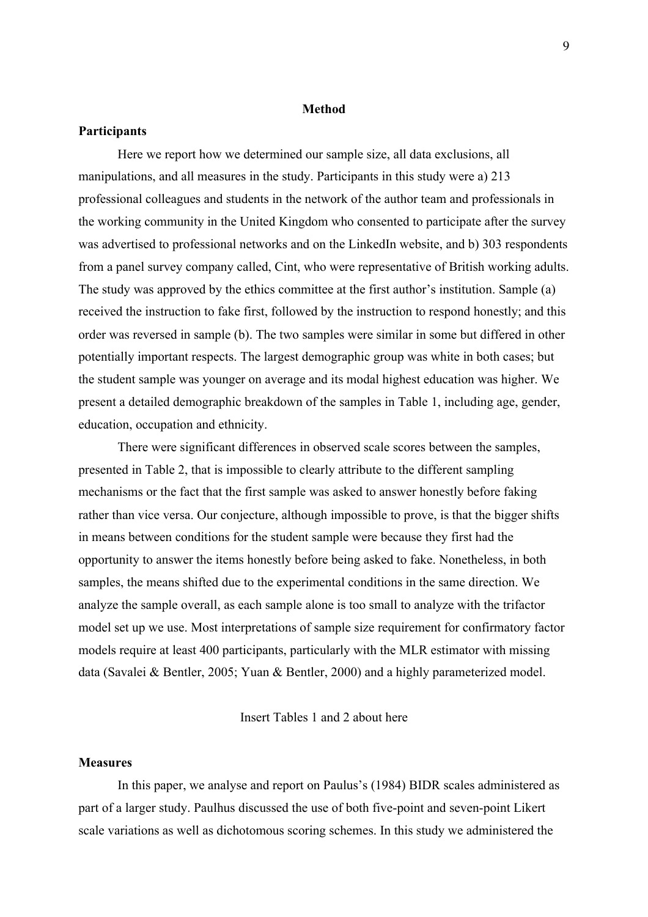#### **Method**

#### **Participants**

Here we report how we determined our sample size, all data exclusions, all manipulations, and all measures in the study. Participants in this study were a) 213 professional colleagues and students in the network of the author team and professionals in the working community in the United Kingdom who consented to participate after the survey was advertised to professional networks and on the LinkedIn website, and b) 303 respondents from a panel survey company called, Cint, who were representative of British working adults. The study was approved by the ethics committee at the first author's institution. Sample (a) received the instruction to fake first, followed by the instruction to respond honestly; and this order was reversed in sample (b). The two samples were similar in some but differed in other potentially important respects. The largest demographic group was white in both cases; but the student sample was younger on average and its modal highest education was higher. We present a detailed demographic breakdown of the samples in Table 1, including age, gender, education, occupation and ethnicity.

There were significant differences in observed scale scores between the samples, presented in Table 2, that is impossible to clearly attribute to the different sampling mechanisms or the fact that the first sample was asked to answer honestly before faking rather than vice versa. Our conjecture, although impossible to prove, is that the bigger shifts in means between conditions for the student sample were because they first had the opportunity to answer the items honestly before being asked to fake. Nonetheless, in both samples, the means shifted due to the experimental conditions in the same direction. We analyze the sample overall, as each sample alone is too small to analyze with the trifactor model set up we use. Most interpretations of sample size requirement for confirmatory factor models require at least 400 participants, particularly with the MLR estimator with missing data (Savalei & Bentler, 2005; Yuan & Bentler, 2000) and a highly parameterized model.

Insert Tables 1 and 2 about here

## **Measures**

In this paper, we analyse and report on Paulus's (1984) BIDR scales administered as part of a larger study. Paulhus discussed the use of both five-point and seven-point Likert scale variations as well as dichotomous scoring schemes. In this study we administered the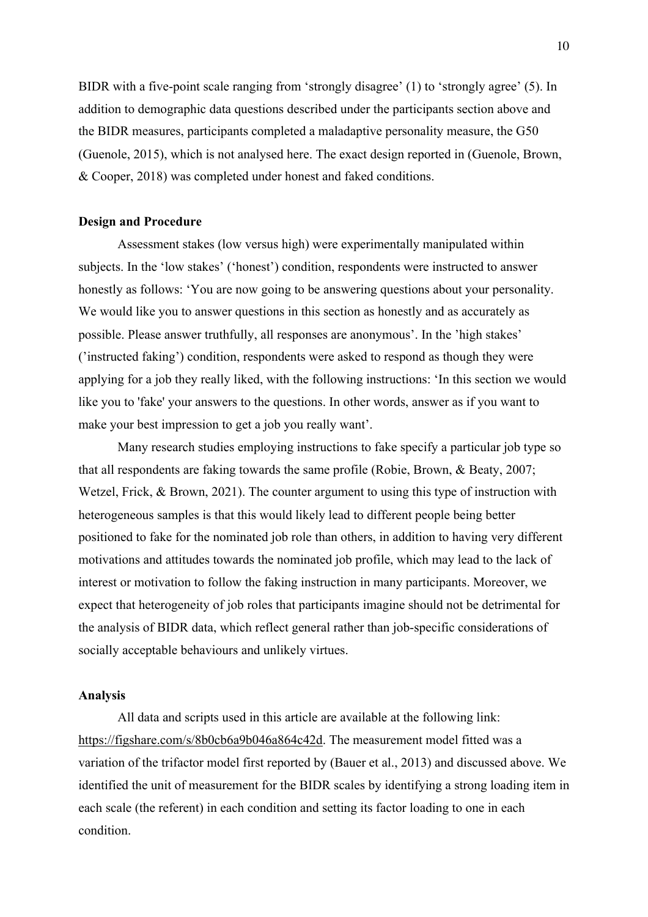BIDR with a five-point scale ranging from 'strongly disagree' (1) to 'strongly agree' (5). In addition to demographic data questions described under the participants section above and the BIDR measures, participants completed a maladaptive personality measure, the G50 (Guenole, 2015), which is not analysed here. The exact design reported in (Guenole, Brown, & Cooper, 2018) was completed under honest and faked conditions.

#### **Design and Procedure**

Assessment stakes (low versus high) were experimentally manipulated within subjects. In the 'low stakes' ('honest') condition, respondents were instructed to answer honestly as follows: 'You are now going to be answering questions about your personality. We would like you to answer questions in this section as honestly and as accurately as possible. Please answer truthfully, all responses are anonymous'. In the 'high stakes' ('instructed faking') condition, respondents were asked to respond as though they were applying for a job they really liked, with the following instructions: 'In this section we would like you to 'fake' your answers to the questions. In other words, answer as if you want to make your best impression to get a job you really want'.

Many research studies employing instructions to fake specify a particular job type so that all respondents are faking towards the same profile (Robie, Brown, & Beaty, 2007; Wetzel, Frick, & Brown, 2021). The counter argument to using this type of instruction with heterogeneous samples is that this would likely lead to different people being better positioned to fake for the nominated job role than others, in addition to having very different motivations and attitudes towards the nominated job profile, which may lead to the lack of interest or motivation to follow the faking instruction in many participants. Moreover, we expect that heterogeneity of job roles that participants imagine should not be detrimental for the analysis of BIDR data, which reflect general rather than job-specific considerations of socially acceptable behaviours and unlikely virtues.

#### **Analysis**

All data and scripts used in this article are available at the following link: https://figshare.com/s/8b0cb6a9b046a864c42d. The measurement model fitted was a variation of the trifactor model first reported by (Bauer et al., 2013) and discussed above. We identified the unit of measurement for the BIDR scales by identifying a strong loading item in each scale (the referent) in each condition and setting its factor loading to one in each condition.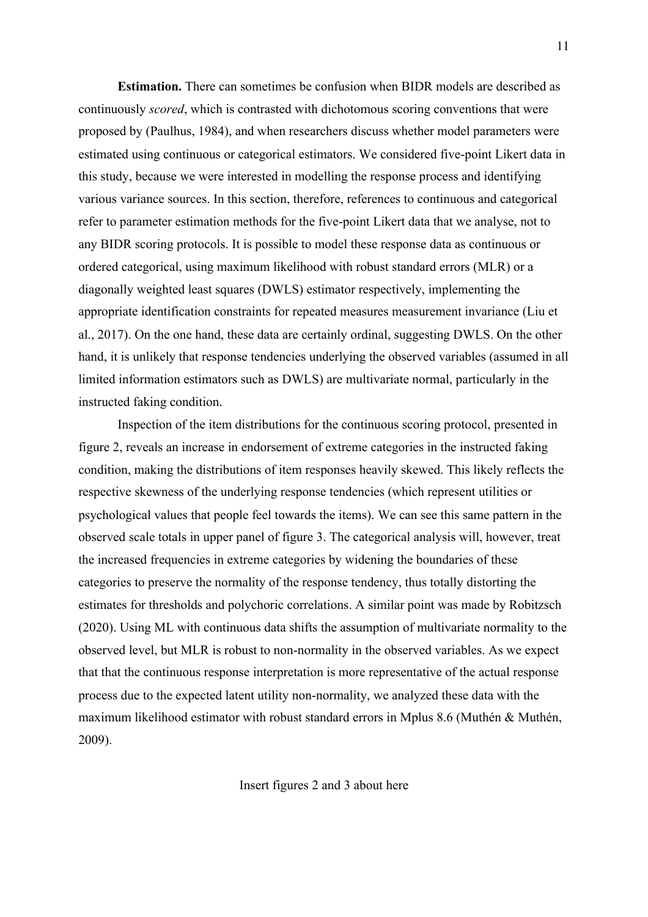**Estimation.** There can sometimes be confusion when BIDR models are described as continuously *scored*, which is contrasted with dichotomous scoring conventions that were proposed by (Paulhus, 1984), and when researchers discuss whether model parameters were estimated using continuous or categorical estimators. We considered five-point Likert data in this study, because we were interested in modelling the response process and identifying various variance sources. In this section, therefore, references to continuous and categorical refer to parameter estimation methods for the five-point Likert data that we analyse, not to any BIDR scoring protocols. It is possible to model these response data as continuous or ordered categorical, using maximum likelihood with robust standard errors (MLR) or a diagonally weighted least squares (DWLS) estimator respectively, implementing the appropriate identification constraints for repeated measures measurement invariance (Liu et al., 2017). On the one hand, these data are certainly ordinal, suggesting DWLS. On the other hand, it is unlikely that response tendencies underlying the observed variables (assumed in all limited information estimators such as DWLS) are multivariate normal, particularly in the instructed faking condition.

Inspection of the item distributions for the continuous scoring protocol, presented in figure 2, reveals an increase in endorsement of extreme categories in the instructed faking condition, making the distributions of item responses heavily skewed. This likely reflects the respective skewness of the underlying response tendencies (which represent utilities or psychological values that people feel towards the items). We can see this same pattern in the observed scale totals in upper panel of figure 3. The categorical analysis will, however, treat the increased frequencies in extreme categories by widening the boundaries of these categories to preserve the normality of the response tendency, thus totally distorting the estimates for thresholds and polychoric correlations. A similar point was made by Robitzsch (2020). Using ML with continuous data shifts the assumption of multivariate normality to the observed level, but MLR is robust to non-normality in the observed variables. As we expect that that the continuous response interpretation is more representative of the actual response process due to the expected latent utility non-normality, we analyzed these data with the maximum likelihood estimator with robust standard errors in Mplus 8.6 (Muthén & Muthén, 2009).

Insert figures 2 and 3 about here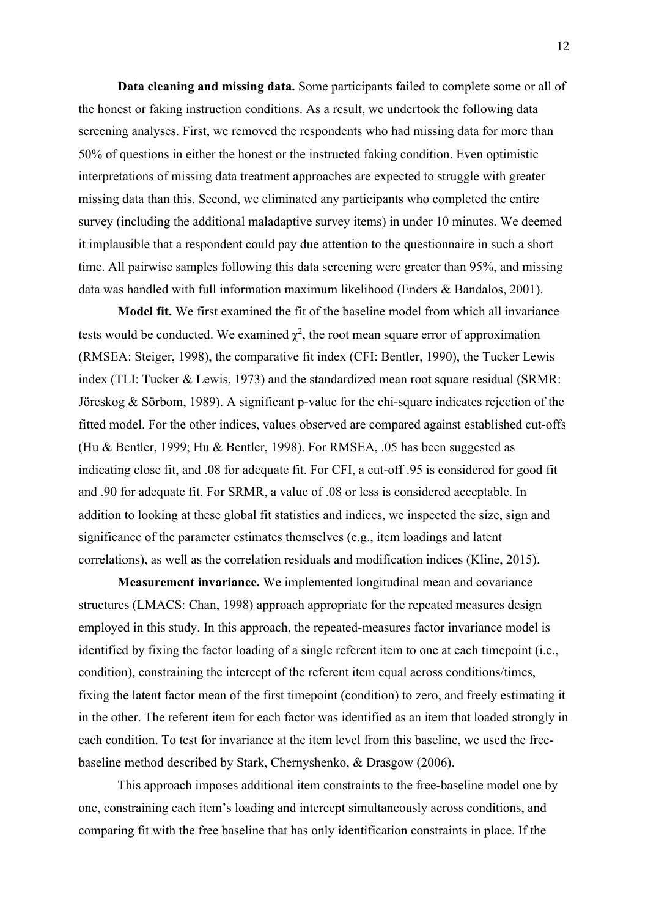**Data cleaning and missing data.** Some participants failed to complete some or all of the honest or faking instruction conditions. As a result, we undertook the following data screening analyses. First, we removed the respondents who had missing data for more than 50% of questions in either the honest or the instructed faking condition. Even optimistic interpretations of missing data treatment approaches are expected to struggle with greater missing data than this. Second, we eliminated any participants who completed the entire survey (including the additional maladaptive survey items) in under 10 minutes. We deemed it implausible that a respondent could pay due attention to the questionnaire in such a short time. All pairwise samples following this data screening were greater than 95%, and missing data was handled with full information maximum likelihood (Enders & Bandalos, 2001).

**Model fit.** We first examined the fit of the baseline model from which all invariance tests would be conducted. We examined  $\chi^2$ , the root mean square error of approximation (RMSEA: Steiger, 1998), the comparative fit index (CFI: Bentler, 1990), the Tucker Lewis index (TLI: Tucker & Lewis, 1973) and the standardized mean root square residual (SRMR: Jöreskog & Sörbom, 1989). A significant p-value for the chi-square indicates rejection of the fitted model. For the other indices, values observed are compared against established cut-offs (Hu & Bentler, 1999; Hu & Bentler, 1998). For RMSEA, .05 has been suggested as indicating close fit, and .08 for adequate fit. For CFI, a cut-off .95 is considered for good fit and .90 for adequate fit. For SRMR, a value of .08 or less is considered acceptable. In addition to looking at these global fit statistics and indices, we inspected the size, sign and significance of the parameter estimates themselves (e.g., item loadings and latent correlations), as well as the correlation residuals and modification indices (Kline, 2015).

**Measurement invariance.** We implemented longitudinal mean and covariance structures (LMACS: Chan, 1998) approach appropriate for the repeated measures design employed in this study. In this approach, the repeated-measures factor invariance model is identified by fixing the factor loading of a single referent item to one at each timepoint (i.e., condition), constraining the intercept of the referent item equal across conditions/times, fixing the latent factor mean of the first timepoint (condition) to zero, and freely estimating it in the other. The referent item for each factor was identified as an item that loaded strongly in each condition. To test for invariance at the item level from this baseline, we used the freebaseline method described by Stark, Chernyshenko, & Drasgow (2006).

This approach imposes additional item constraints to the free-baseline model one by one, constraining each item's loading and intercept simultaneously across conditions, and comparing fit with the free baseline that has only identification constraints in place. If the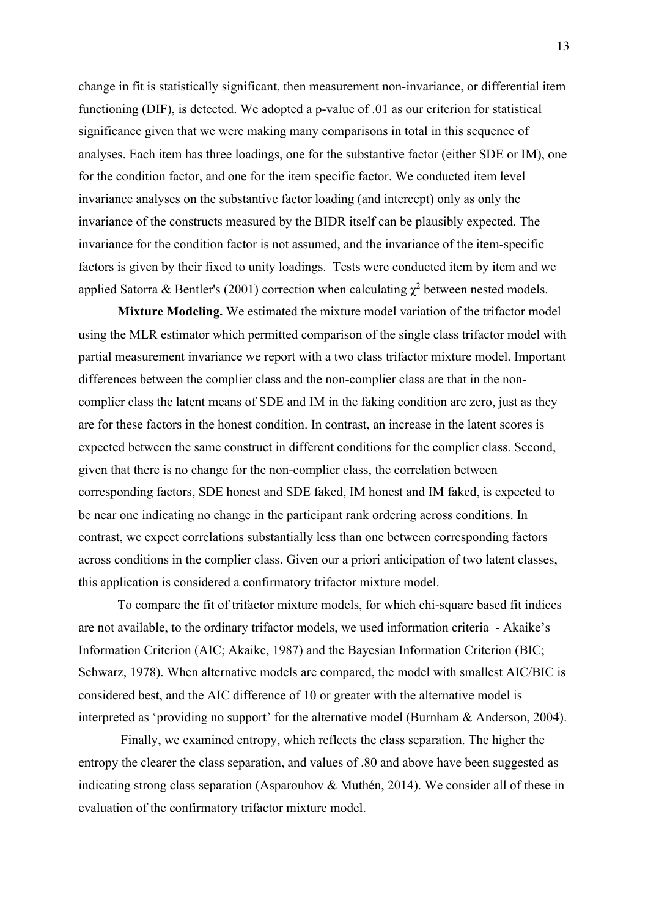change in fit is statistically significant, then measurement non-invariance, or differential item functioning (DIF), is detected. We adopted a p-value of .01 as our criterion for statistical significance given that we were making many comparisons in total in this sequence of analyses. Each item has three loadings, one for the substantive factor (either SDE or IM), one for the condition factor, and one for the item specific factor. We conducted item level invariance analyses on the substantive factor loading (and intercept) only as only the invariance of the constructs measured by the BIDR itself can be plausibly expected. The invariance for the condition factor is not assumed, and the invariance of the item-specific factors is given by their fixed to unity loadings. Tests were conducted item by item and we applied Satorra & Bentler's (2001) correction when calculating  $\chi^2$  between nested models.

**Mixture Modeling.** We estimated the mixture model variation of the trifactor model using the MLR estimator which permitted comparison of the single class trifactor model with partial measurement invariance we report with a two class trifactor mixture model. Important differences between the complier class and the non-complier class are that in the noncomplier class the latent means of SDE and IM in the faking condition are zero, just as they are for these factors in the honest condition. In contrast, an increase in the latent scores is expected between the same construct in different conditions for the complier class. Second, given that there is no change for the non-complier class, the correlation between corresponding factors, SDE honest and SDE faked, IM honest and IM faked, is expected to be near one indicating no change in the participant rank ordering across conditions. In contrast, we expect correlations substantially less than one between corresponding factors across conditions in the complier class. Given our a priori anticipation of two latent classes, this application is considered a confirmatory trifactor mixture model.

To compare the fit of trifactor mixture models, for which chi-square based fit indices are not available, to the ordinary trifactor models, we used information criteria - Akaike's Information Criterion (AIC; Akaike, 1987) and the Bayesian Information Criterion (BIC; Schwarz, 1978). When alternative models are compared, the model with smallest AIC/BIC is considered best, and the AIC difference of 10 or greater with the alternative model is interpreted as 'providing no support' for the alternative model (Burnham & Anderson, 2004).

Finally, we examined entropy, which reflects the class separation. The higher the entropy the clearer the class separation, and values of .80 and above have been suggested as indicating strong class separation (Asparouhov & Muthén, 2014). We consider all of these in evaluation of the confirmatory trifactor mixture model.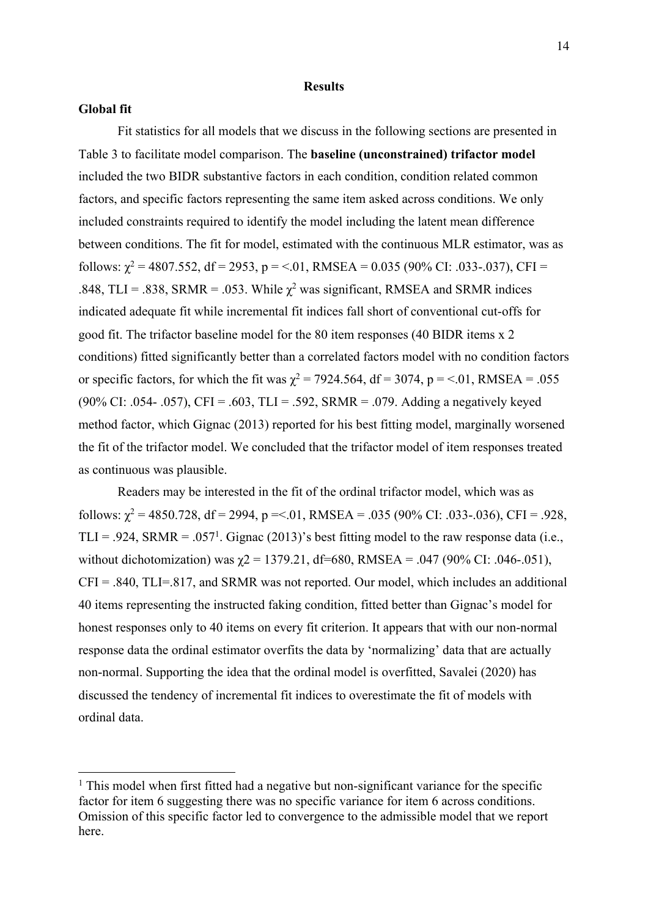#### **Results**

# **Global fit**

Fit statistics for all models that we discuss in the following sections are presented in Table 3 to facilitate model comparison. The **baseline (unconstrained) trifactor model** included the two BIDR substantive factors in each condition, condition related common factors, and specific factors representing the same item asked across conditions. We only included constraints required to identify the model including the latent mean difference between conditions. The fit for model, estimated with the continuous MLR estimator, was as follows:  $\chi^2$  = 4807.552, df = 2953, p = <.01, RMSEA = 0.035 (90% CI: .033-.037), CFI = .848, TLI = .838, SRMR = .053. While  $\chi^2$  was significant, RMSEA and SRMR indices indicated adequate fit while incremental fit indices fall short of conventional cut-offs for good fit. The trifactor baseline model for the 80 item responses (40 BIDR items x 2 conditions) fitted significantly better than a correlated factors model with no condition factors or specific factors, for which the fit was  $\chi^2 = 7924.564$ , df = 3074, p = <.01, RMSEA = .055 (90% CI: .054- .057), CFI = .603, TLI = .592, SRMR = .079. Adding a negatively keyed method factor, which Gignac (2013) reported for his best fitting model, marginally worsened the fit of the trifactor model. We concluded that the trifactor model of item responses treated as continuous was plausible.

Readers may be interested in the fit of the ordinal trifactor model, which was as follows:  $\chi^2$  = 4850.728, df = 2994, p = <.01, RMSEA = .035 (90% CI: .033-.036), CFI = .928, TLI = .924, SRMR = .057<sup>1</sup>. Gignac (2013)'s best fitting model to the raw response data (i.e., without dichotomization) was  $\chi$ 2 = 1379.21, df=680, RMSEA = .047 (90% CI: .046-.051),  $CFI = .840$ ,  $TLI = .817$ , and SRMR was not reported. Our model, which includes an additional 40 items representing the instructed faking condition, fitted better than Gignac's model for honest responses only to 40 items on every fit criterion. It appears that with our non-normal response data the ordinal estimator overfits the data by 'normalizing' data that are actually non-normal. Supporting the idea that the ordinal model is overfitted, Savalei (2020) has discussed the tendency of incremental fit indices to overestimate the fit of models with ordinal data.

 $<sup>1</sup>$  This model when first fitted had a negative but non-significant variance for the specific</sup> factor for item 6 suggesting there was no specific variance for item 6 across conditions. Omission of this specific factor led to convergence to the admissible model that we report here.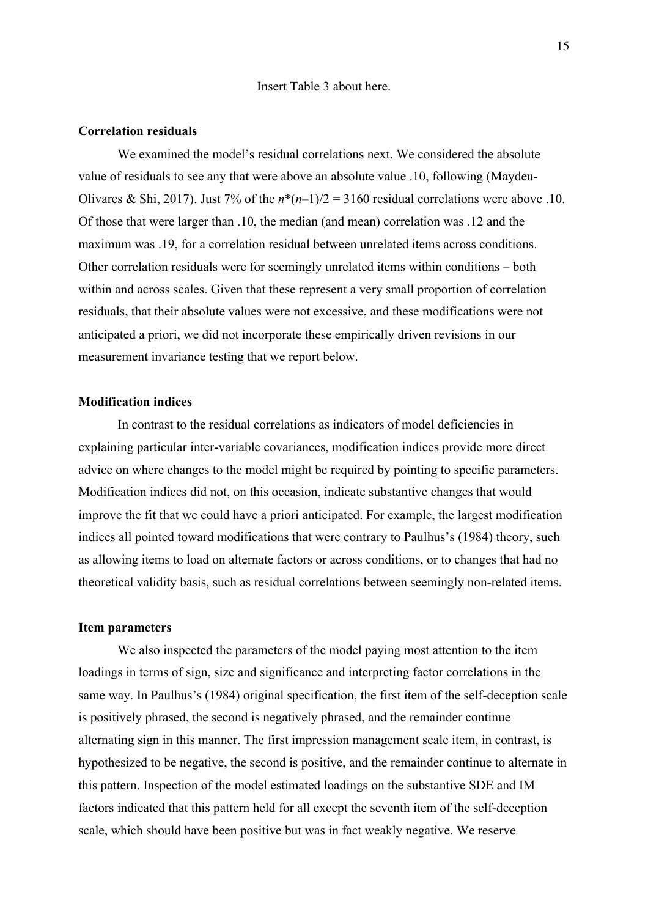#### Insert Table 3 about here.

#### **Correlation residuals**

We examined the model's residual correlations next. We considered the absolute value of residuals to see any that were above an absolute value .10, following (Maydeu-Olivares & Shi, 2017). Just 7% of the  $n*(n-1)/2 = 3160$  residual correlations were above .10. Of those that were larger than .10, the median (and mean) correlation was .12 and the maximum was .19, for a correlation residual between unrelated items across conditions. Other correlation residuals were for seemingly unrelated items within conditions – both within and across scales. Given that these represent a very small proportion of correlation residuals, that their absolute values were not excessive, and these modifications were not anticipated a priori, we did not incorporate these empirically driven revisions in our measurement invariance testing that we report below.

# **Modification indices**

In contrast to the residual correlations as indicators of model deficiencies in explaining particular inter-variable covariances, modification indices provide more direct advice on where changes to the model might be required by pointing to specific parameters. Modification indices did not, on this occasion, indicate substantive changes that would improve the fit that we could have a priori anticipated. For example, the largest modification indices all pointed toward modifications that were contrary to Paulhus's (1984) theory, such as allowing items to load on alternate factors or across conditions, or to changes that had no theoretical validity basis, such as residual correlations between seemingly non-related items.

#### **Item parameters**

We also inspected the parameters of the model paying most attention to the item loadings in terms of sign, size and significance and interpreting factor correlations in the same way. In Paulhus's (1984) original specification, the first item of the self-deception scale is positively phrased, the second is negatively phrased, and the remainder continue alternating sign in this manner. The first impression management scale item, in contrast, is hypothesized to be negative, the second is positive, and the remainder continue to alternate in this pattern. Inspection of the model estimated loadings on the substantive SDE and IM factors indicated that this pattern held for all except the seventh item of the self-deception scale, which should have been positive but was in fact weakly negative. We reserve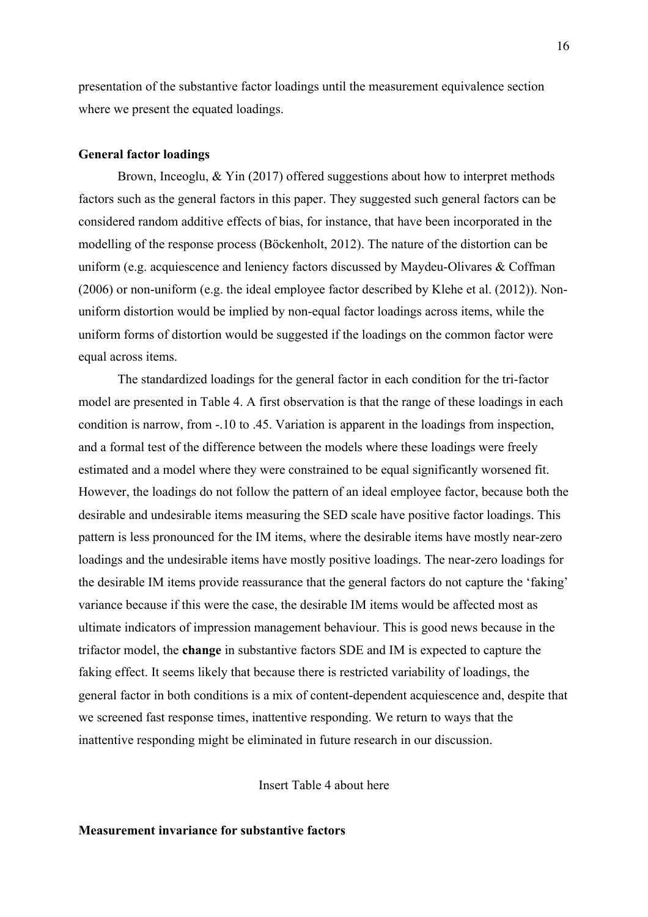presentation of the substantive factor loadings until the measurement equivalence section where we present the equated loadings.

#### **General factor loadings**

Brown, Inceoglu, & Yin (2017) offered suggestions about how to interpret methods factors such as the general factors in this paper. They suggested such general factors can be considered random additive effects of bias, for instance, that have been incorporated in the modelling of the response process (Böckenholt, 2012). The nature of the distortion can be uniform (e.g. acquiescence and leniency factors discussed by Maydeu-Olivares & Coffman (2006) or non-uniform (e.g. the ideal employee factor described by Klehe et al. (2012)). Nonuniform distortion would be implied by non-equal factor loadings across items, while the uniform forms of distortion would be suggested if the loadings on the common factor were equal across items.

The standardized loadings for the general factor in each condition for the tri-factor model are presented in Table 4. A first observation is that the range of these loadings in each condition is narrow, from -.10 to .45. Variation is apparent in the loadings from inspection, and a formal test of the difference between the models where these loadings were freely estimated and a model where they were constrained to be equal significantly worsened fit. However, the loadings do not follow the pattern of an ideal employee factor, because both the desirable and undesirable items measuring the SED scale have positive factor loadings. This pattern is less pronounced for the IM items, where the desirable items have mostly near-zero loadings and the undesirable items have mostly positive loadings. The near-zero loadings for the desirable IM items provide reassurance that the general factors do not capture the 'faking' variance because if this were the case, the desirable IM items would be affected most as ultimate indicators of impression management behaviour. This is good news because in the trifactor model, the **change** in substantive factors SDE and IM is expected to capture the faking effect. It seems likely that because there is restricted variability of loadings, the general factor in both conditions is a mix of content-dependent acquiescence and, despite that we screened fast response times, inattentive responding. We return to ways that the inattentive responding might be eliminated in future research in our discussion.

Insert Table 4 about here

# **Measurement invariance for substantive factors**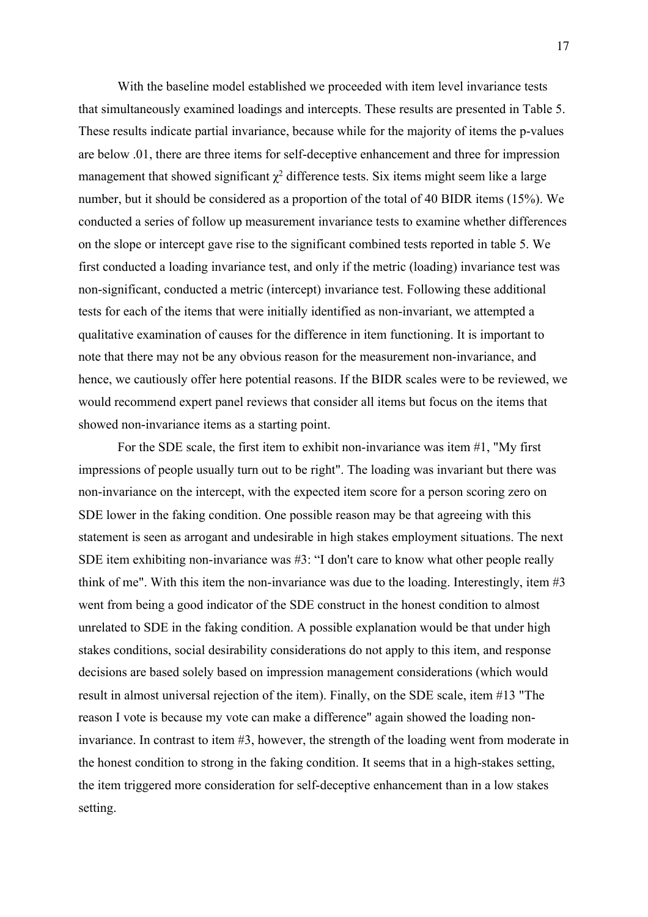With the baseline model established we proceeded with item level invariance tests that simultaneously examined loadings and intercepts. These results are presented in Table 5. These results indicate partial invariance, because while for the majority of items the p-values are below .01, there are three items for self-deceptive enhancement and three for impression management that showed significant  $\gamma^2$  difference tests. Six items might seem like a large number, but it should be considered as a proportion of the total of 40 BIDR items (15%). We conducted a series of follow up measurement invariance tests to examine whether differences on the slope or intercept gave rise to the significant combined tests reported in table 5. We first conducted a loading invariance test, and only if the metric (loading) invariance test was non-significant, conducted a metric (intercept) invariance test. Following these additional tests for each of the items that were initially identified as non-invariant, we attempted a qualitative examination of causes for the difference in item functioning. It is important to note that there may not be any obvious reason for the measurement non-invariance, and hence, we cautiously offer here potential reasons. If the BIDR scales were to be reviewed, we would recommend expert panel reviews that consider all items but focus on the items that showed non-invariance items as a starting point.

For the SDE scale, the first item to exhibit non-invariance was item #1, "My first impressions of people usually turn out to be right". The loading was invariant but there was non-invariance on the intercept, with the expected item score for a person scoring zero on SDE lower in the faking condition. One possible reason may be that agreeing with this statement is seen as arrogant and undesirable in high stakes employment situations. The next SDE item exhibiting non-invariance was #3: "I don't care to know what other people really think of me". With this item the non-invariance was due to the loading. Interestingly, item #3 went from being a good indicator of the SDE construct in the honest condition to almost unrelated to SDE in the faking condition. A possible explanation would be that under high stakes conditions, social desirability considerations do not apply to this item, and response decisions are based solely based on impression management considerations (which would result in almost universal rejection of the item). Finally, on the SDE scale, item #13 "The reason I vote is because my vote can make a difference" again showed the loading noninvariance. In contrast to item #3, however, the strength of the loading went from moderate in the honest condition to strong in the faking condition. It seems that in a high-stakes setting, the item triggered more consideration for self-deceptive enhancement than in a low stakes setting.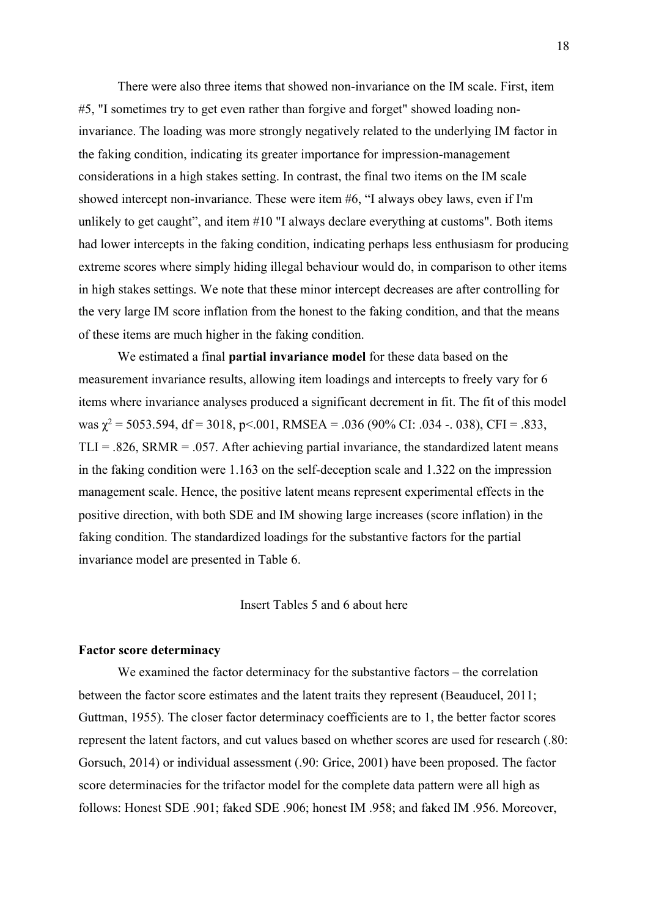There were also three items that showed non-invariance on the IM scale. First, item #5, "I sometimes try to get even rather than forgive and forget" showed loading noninvariance. The loading was more strongly negatively related to the underlying IM factor in the faking condition, indicating its greater importance for impression-management considerations in a high stakes setting. In contrast, the final two items on the IM scale showed intercept non-invariance. These were item #6, "I always obey laws, even if I'm unlikely to get caught", and item #10 "I always declare everything at customs". Both items had lower intercepts in the faking condition, indicating perhaps less enthusiasm for producing extreme scores where simply hiding illegal behaviour would do, in comparison to other items in high stakes settings. We note that these minor intercept decreases are after controlling for the very large IM score inflation from the honest to the faking condition, and that the means of these items are much higher in the faking condition.

We estimated a final **partial invariance model** for these data based on the measurement invariance results, allowing item loadings and intercepts to freely vary for 6 items where invariance analyses produced a significant decrement in fit. The fit of this model was  $\chi^2$  = 5053.594, df = 3018, p < 0.001, RMSEA = .036 (90% CI: .034 -. 038), CFI = .833,  $TLI = .826$ , SRMR = .057. After achieving partial invariance, the standardized latent means in the faking condition were 1.163 on the self-deception scale and 1.322 on the impression management scale. Hence, the positive latent means represent experimental effects in the positive direction, with both SDE and IM showing large increases (score inflation) in the faking condition. The standardized loadings for the substantive factors for the partial invariance model are presented in Table 6.

## Insert Tables 5 and 6 about here

#### **Factor score determinacy**

We examined the factor determinacy for the substantive factors – the correlation between the factor score estimates and the latent traits they represent (Beauducel, 2011; Guttman, 1955). The closer factor determinacy coefficients are to 1, the better factor scores represent the latent factors, and cut values based on whether scores are used for research (.80: Gorsuch, 2014) or individual assessment (.90: Grice, 2001) have been proposed. The factor score determinacies for the trifactor model for the complete data pattern were all high as follows: Honest SDE .901; faked SDE .906; honest IM .958; and faked IM .956. Moreover,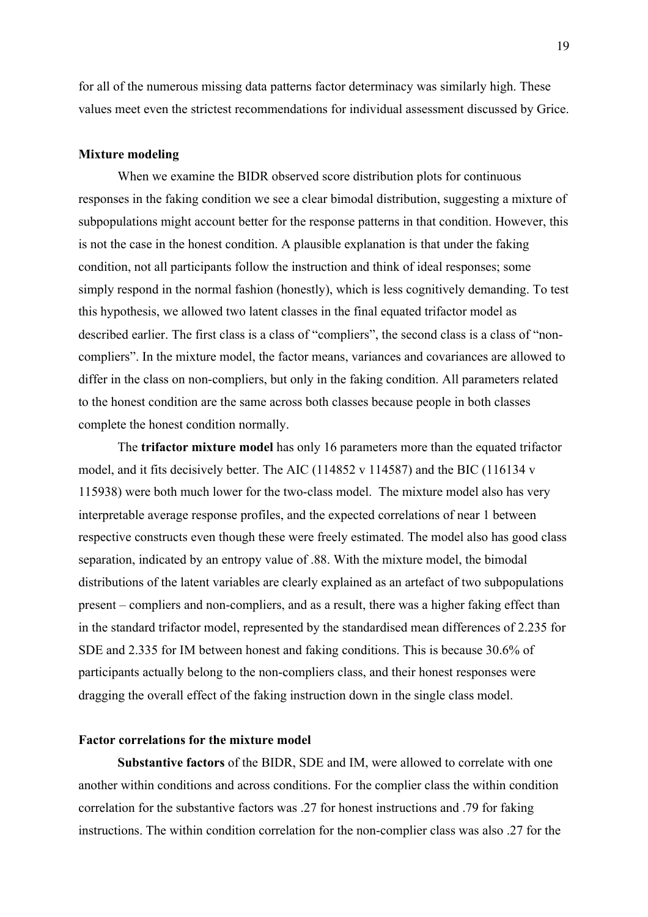for all of the numerous missing data patterns factor determinacy was similarly high. These values meet even the strictest recommendations for individual assessment discussed by Grice.

#### **Mixture modeling**

When we examine the BIDR observed score distribution plots for continuous responses in the faking condition we see a clear bimodal distribution, suggesting a mixture of subpopulations might account better for the response patterns in that condition. However, this is not the case in the honest condition. A plausible explanation is that under the faking condition, not all participants follow the instruction and think of ideal responses; some simply respond in the normal fashion (honestly), which is less cognitively demanding. To test this hypothesis, we allowed two latent classes in the final equated trifactor model as described earlier. The first class is a class of "compliers", the second class is a class of "noncompliers". In the mixture model, the factor means, variances and covariances are allowed to differ in the class on non-compliers, but only in the faking condition. All parameters related to the honest condition are the same across both classes because people in both classes complete the honest condition normally.

The **trifactor mixture model** has only 16 parameters more than the equated trifactor model, and it fits decisively better. The AIC (114852 v 114587) and the BIC (116134 v 115938) were both much lower for the two-class model. The mixture model also has very interpretable average response profiles, and the expected correlations of near 1 between respective constructs even though these were freely estimated. The model also has good class separation, indicated by an entropy value of .88. With the mixture model, the bimodal distributions of the latent variables are clearly explained as an artefact of two subpopulations present – compliers and non-compliers, and as a result, there was a higher faking effect than in the standard trifactor model, represented by the standardised mean differences of 2.235 for SDE and 2.335 for IM between honest and faking conditions. This is because 30.6% of participants actually belong to the non-compliers class, and their honest responses were dragging the overall effect of the faking instruction down in the single class model.

# **Factor correlations for the mixture model**

**Substantive factors** of the BIDR, SDE and IM, were allowed to correlate with one another within conditions and across conditions. For the complier class the within condition correlation for the substantive factors was .27 for honest instructions and .79 for faking instructions. The within condition correlation for the non-complier class was also .27 for the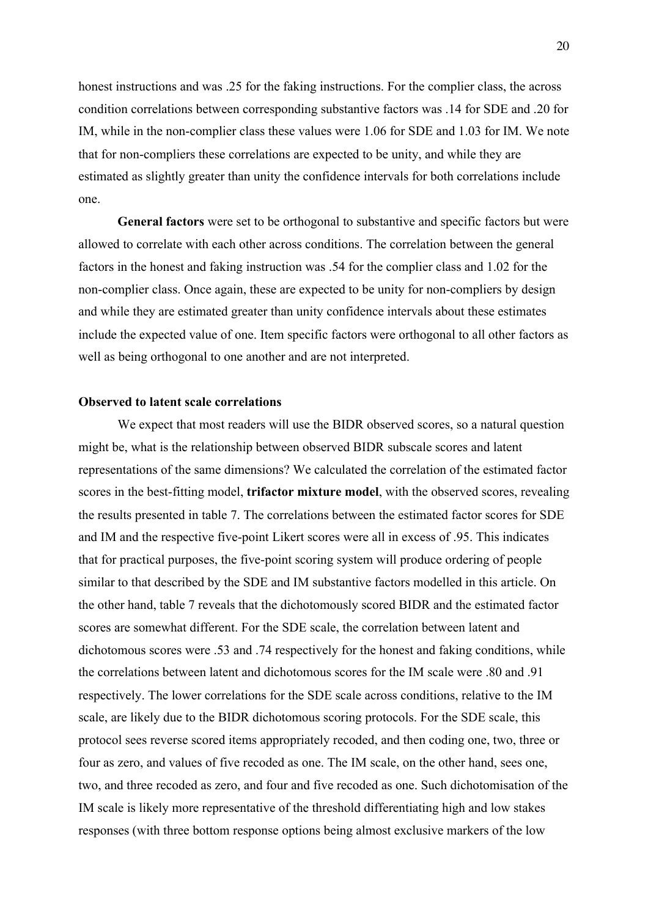honest instructions and was .25 for the faking instructions. For the complier class, the across condition correlations between corresponding substantive factors was .14 for SDE and .20 for IM, while in the non-complier class these values were 1.06 for SDE and 1.03 for IM. We note that for non-compliers these correlations are expected to be unity, and while they are estimated as slightly greater than unity the confidence intervals for both correlations include one.

**General factors** were set to be orthogonal to substantive and specific factors but were allowed to correlate with each other across conditions. The correlation between the general factors in the honest and faking instruction was .54 for the complier class and 1.02 for the non-complier class. Once again, these are expected to be unity for non-compliers by design and while they are estimated greater than unity confidence intervals about these estimates include the expected value of one. Item specific factors were orthogonal to all other factors as well as being orthogonal to one another and are not interpreted.

# **Observed to latent scale correlations**

We expect that most readers will use the BIDR observed scores, so a natural question might be, what is the relationship between observed BIDR subscale scores and latent representations of the same dimensions? We calculated the correlation of the estimated factor scores in the best-fitting model, **trifactor mixture model**, with the observed scores, revealing the results presented in table 7. The correlations between the estimated factor scores for SDE and IM and the respective five-point Likert scores were all in excess of .95. This indicates that for practical purposes, the five-point scoring system will produce ordering of people similar to that described by the SDE and IM substantive factors modelled in this article. On the other hand, table 7 reveals that the dichotomously scored BIDR and the estimated factor scores are somewhat different. For the SDE scale, the correlation between latent and dichotomous scores were .53 and .74 respectively for the honest and faking conditions, while the correlations between latent and dichotomous scores for the IM scale were .80 and .91 respectively. The lower correlations for the SDE scale across conditions, relative to the IM scale, are likely due to the BIDR dichotomous scoring protocols. For the SDE scale, this protocol sees reverse scored items appropriately recoded, and then coding one, two, three or four as zero, and values of five recoded as one. The IM scale, on the other hand, sees one, two, and three recoded as zero, and four and five recoded as one. Such dichotomisation of the IM scale is likely more representative of the threshold differentiating high and low stakes responses (with three bottom response options being almost exclusive markers of the low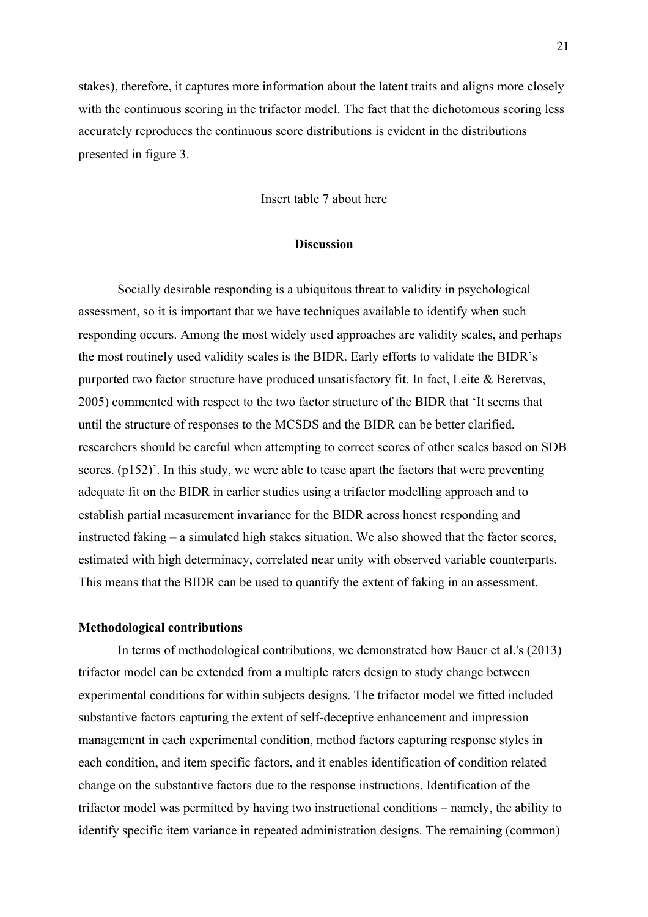stakes), therefore, it captures more information about the latent traits and aligns more closely with the continuous scoring in the trifactor model. The fact that the dichotomous scoring less accurately reproduces the continuous score distributions is evident in the distributions presented in figure 3.

Insert table 7 about here

## **Discussion**

Socially desirable responding is a ubiquitous threat to validity in psychological assessment, so it is important that we have techniques available to identify when such responding occurs. Among the most widely used approaches are validity scales, and perhaps the most routinely used validity scales is the BIDR. Early efforts to validate the BIDR's purported two factor structure have produced unsatisfactory fit. In fact, Leite & Beretvas, 2005) commented with respect to the two factor structure of the BIDR that 'It seems that until the structure of responses to the MCSDS and the BIDR can be better clarified, researchers should be careful when attempting to correct scores of other scales based on SDB scores. (p152)'. In this study, we were able to tease apart the factors that were preventing adequate fit on the BIDR in earlier studies using a trifactor modelling approach and to establish partial measurement invariance for the BIDR across honest responding and instructed faking – a simulated high stakes situation. We also showed that the factor scores, estimated with high determinacy, correlated near unity with observed variable counterparts. This means that the BIDR can be used to quantify the extent of faking in an assessment.

#### **Methodological contributions**

In terms of methodological contributions, we demonstrated how Bauer et al.'s (2013) trifactor model can be extended from a multiple raters design to study change between experimental conditions for within subjects designs. The trifactor model we fitted included substantive factors capturing the extent of self-deceptive enhancement and impression management in each experimental condition, method factors capturing response styles in each condition, and item specific factors, and it enables identification of condition related change on the substantive factors due to the response instructions. Identification of the trifactor model was permitted by having two instructional conditions – namely, the ability to identify specific item variance in repeated administration designs. The remaining (common)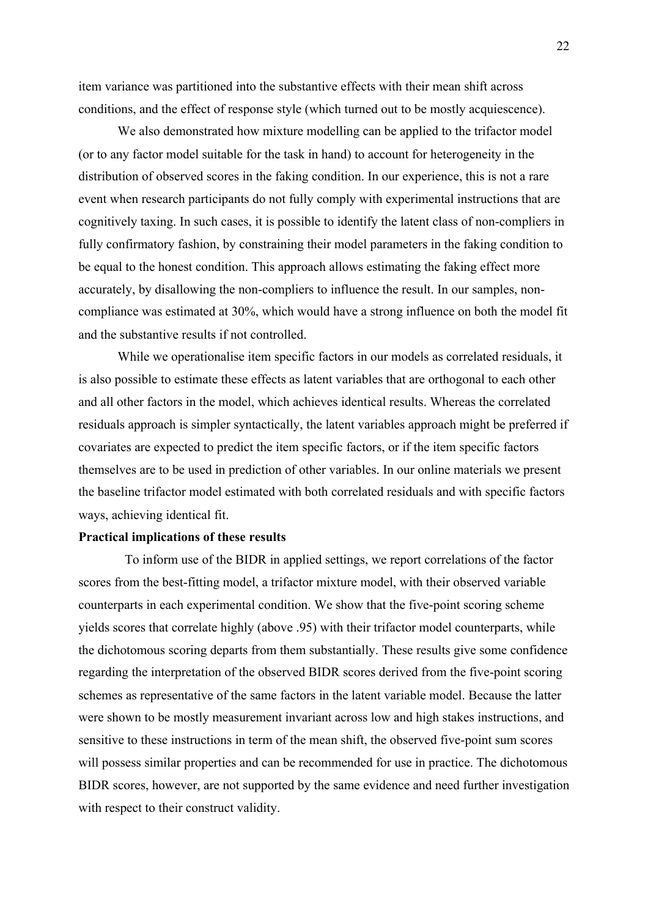item variance was partitioned into the substantive effects with their mean shift across conditions, and the effect of response style (which turned out to be mostly acquiescence).

We also demonstrated how mixture modelling can be applied to the trifactor model (or to any factor model suitable for the task in hand) to account for heterogeneity in the distribution of observed scores in the faking condition. In our experience, this is not a rare event when research participants do not fully comply with experimental instructions that are cognitively taxing. In such cases, it is possible to identify the latent class of non-compliers in fully confirmatory fashion, by constraining their model parameters in the faking condition to be equal to the honest condition. This approach allows estimating the faking effect more accurately, by disallowing the non-compliers to influence the result. In our samples, noncompliance was estimated at 30%, which would have a strong influence on both the model fit and the substantive results if not controlled.

While we operationalise item specific factors in our models as correlated residuals, it is also possible to estimate these effects as latent variables that are orthogonal to each other and all other factors in the model, which achieves identical results. Whereas the correlated residuals approach is simpler syntactically, the latent variables approach might be preferred if covariates are expected to predict the item specific factors, or if the item specific factors themselves are to be used in prediction of other variables. In our online materials we present the baseline trifactor model estimated with both correlated residuals and with specific factors ways, achieving identical fit.

#### **Practical implications of these results**

To inform use of the BIDR in applied settings, we report correlations of the factor scores from the best-fitting model, a trifactor mixture model, with their observed variable counterparts in each experimental condition. We show that the five-point scoring scheme yields scores that correlate highly (above .95) with their trifactor model counterparts, while the dichotomous scoring departs from them substantially. These results give some confidence regarding the interpretation of the observed BIDR scores derived from the five-point scoring schemes as representative of the same factors in the latent variable model. Because the latter were shown to be mostly measurement invariant across low and high stakes instructions, and sensitive to these instructions in term of the mean shift, the observed five-point sum scores will possess similar properties and can be recommended for use in practice. The dichotomous BIDR scores, however, are not supported by the same evidence and need further investigation with respect to their construct validity.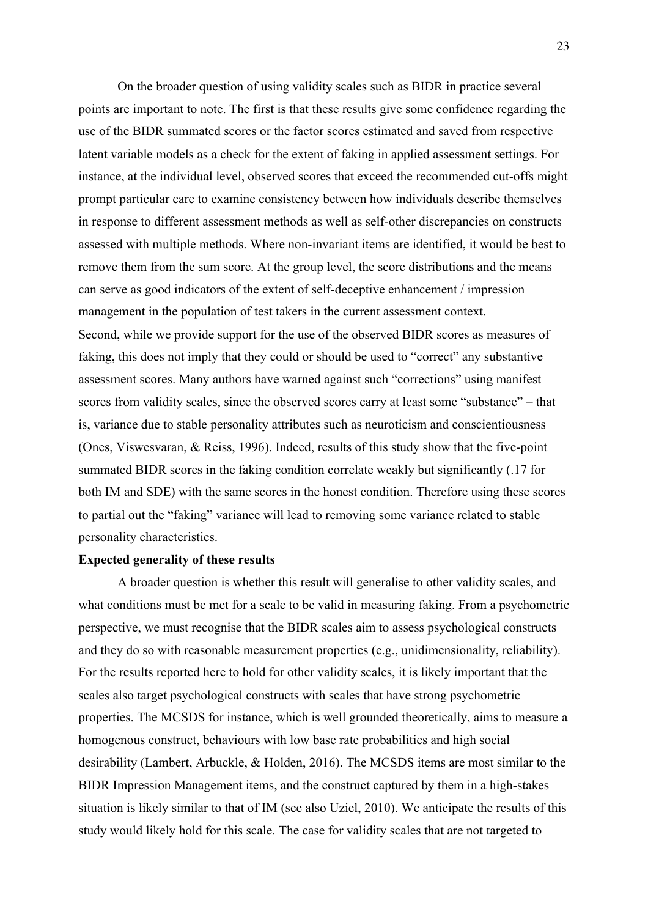On the broader question of using validity scales such as BIDR in practice several points are important to note. The first is that these results give some confidence regarding the use of the BIDR summated scores or the factor scores estimated and saved from respective latent variable models as a check for the extent of faking in applied assessment settings. For instance, at the individual level, observed scores that exceed the recommended cut-offs might prompt particular care to examine consistency between how individuals describe themselves in response to different assessment methods as well as self-other discrepancies on constructs assessed with multiple methods. Where non-invariant items are identified, it would be best to remove them from the sum score. At the group level, the score distributions and the means can serve as good indicators of the extent of self-deceptive enhancement / impression management in the population of test takers in the current assessment context. Second, while we provide support for the use of the observed BIDR scores as measures of faking, this does not imply that they could or should be used to "correct" any substantive assessment scores. Many authors have warned against such "corrections" using manifest scores from validity scales, since the observed scores carry at least some "substance" – that is, variance due to stable personality attributes such as neuroticism and conscientiousness (Ones, Viswesvaran, & Reiss, 1996). Indeed, results of this study show that the five-point summated BIDR scores in the faking condition correlate weakly but significantly (.17 for both IM and SDE) with the same scores in the honest condition. Therefore using these scores to partial out the "faking" variance will lead to removing some variance related to stable personality characteristics.

## **Expected generality of these results**

A broader question is whether this result will generalise to other validity scales, and what conditions must be met for a scale to be valid in measuring faking. From a psychometric perspective, we must recognise that the BIDR scales aim to assess psychological constructs and they do so with reasonable measurement properties (e.g., unidimensionality, reliability). For the results reported here to hold for other validity scales, it is likely important that the scales also target psychological constructs with scales that have strong psychometric properties. The MCSDS for instance, which is well grounded theoretically, aims to measure a homogenous construct, behaviours with low base rate probabilities and high social desirability (Lambert, Arbuckle, & Holden, 2016). The MCSDS items are most similar to the BIDR Impression Management items, and the construct captured by them in a high-stakes situation is likely similar to that of IM (see also Uziel, 2010). We anticipate the results of this study would likely hold for this scale. The case for validity scales that are not targeted to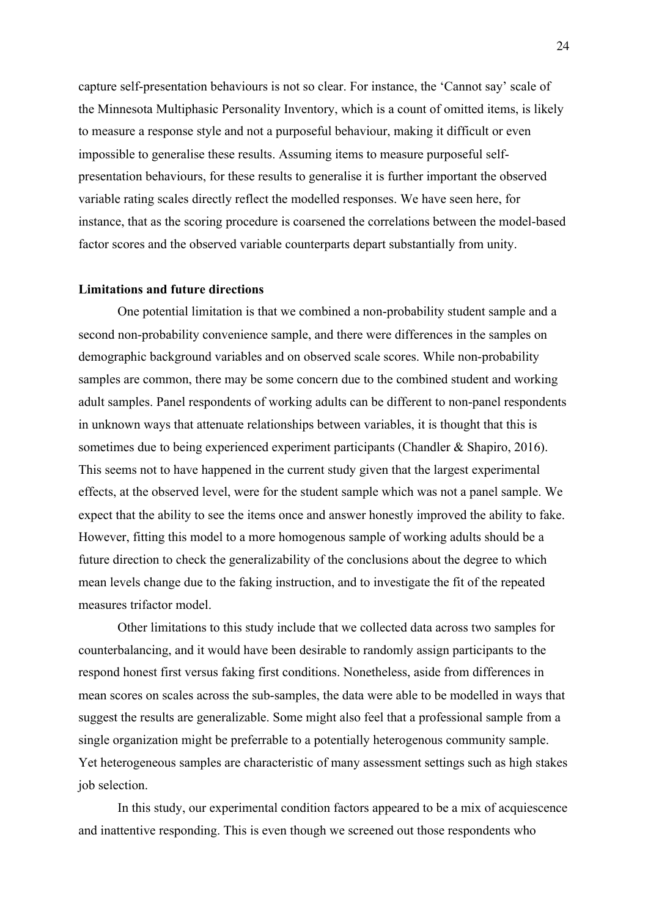capture self-presentation behaviours is not so clear. For instance, the 'Cannot say' scale of the Minnesota Multiphasic Personality Inventory, which is a count of omitted items, is likely to measure a response style and not a purposeful behaviour, making it difficult or even impossible to generalise these results. Assuming items to measure purposeful selfpresentation behaviours, for these results to generalise it is further important the observed variable rating scales directly reflect the modelled responses. We have seen here, for instance, that as the scoring procedure is coarsened the correlations between the model-based factor scores and the observed variable counterparts depart substantially from unity.

#### **Limitations and future directions**

One potential limitation is that we combined a non-probability student sample and a second non-probability convenience sample, and there were differences in the samples on demographic background variables and on observed scale scores. While non-probability samples are common, there may be some concern due to the combined student and working adult samples. Panel respondents of working adults can be different to non-panel respondents in unknown ways that attenuate relationships between variables, it is thought that this is sometimes due to being experienced experiment participants (Chandler & Shapiro, 2016). This seems not to have happened in the current study given that the largest experimental effects, at the observed level, were for the student sample which was not a panel sample. We expect that the ability to see the items once and answer honestly improved the ability to fake. However, fitting this model to a more homogenous sample of working adults should be a future direction to check the generalizability of the conclusions about the degree to which mean levels change due to the faking instruction, and to investigate the fit of the repeated measures trifactor model.

Other limitations to this study include that we collected data across two samples for counterbalancing, and it would have been desirable to randomly assign participants to the respond honest first versus faking first conditions. Nonetheless, aside from differences in mean scores on scales across the sub-samples, the data were able to be modelled in ways that suggest the results are generalizable. Some might also feel that a professional sample from a single organization might be preferrable to a potentially heterogenous community sample. Yet heterogeneous samples are characteristic of many assessment settings such as high stakes job selection.

In this study, our experimental condition factors appeared to be a mix of acquiescence and inattentive responding. This is even though we screened out those respondents who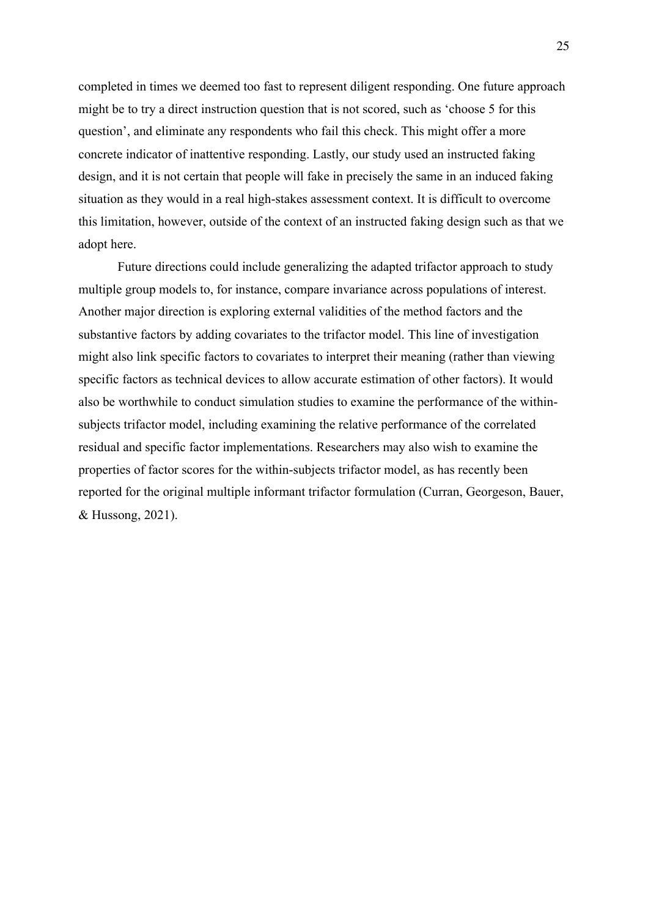completed in times we deemed too fast to represent diligent responding. One future approach might be to try a direct instruction question that is not scored, such as 'choose 5 for this question', and eliminate any respondents who fail this check. This might offer a more concrete indicator of inattentive responding. Lastly, our study used an instructed faking design, and it is not certain that people will fake in precisely the same in an induced faking situation as they would in a real high-stakes assessment context. It is difficult to overcome this limitation, however, outside of the context of an instructed faking design such as that we adopt here.

Future directions could include generalizing the adapted trifactor approach to study multiple group models to, for instance, compare invariance across populations of interest. Another major direction is exploring external validities of the method factors and the substantive factors by adding covariates to the trifactor model. This line of investigation might also link specific factors to covariates to interpret their meaning (rather than viewing specific factors as technical devices to allow accurate estimation of other factors). It would also be worthwhile to conduct simulation studies to examine the performance of the withinsubjects trifactor model, including examining the relative performance of the correlated residual and specific factor implementations. Researchers may also wish to examine the properties of factor scores for the within-subjects trifactor model, as has recently been reported for the original multiple informant trifactor formulation (Curran, Georgeson, Bauer, & Hussong, 2021).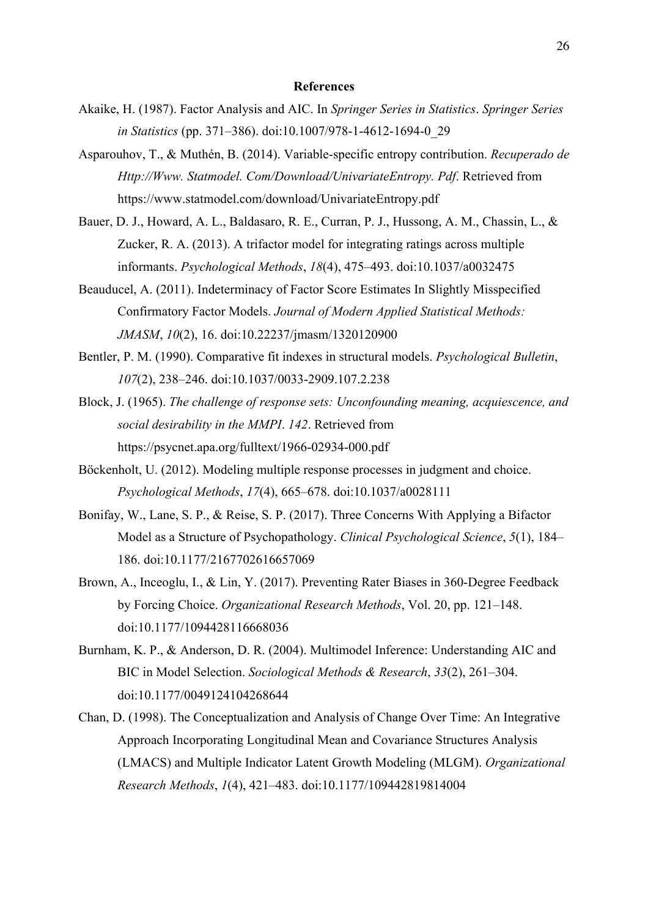#### **References**

- Akaike, H. (1987). Factor Analysis and AIC. In *Springer Series in Statistics*. *Springer Series in Statistics* (pp. 371–386). doi:10.1007/978-1-4612-1694-0\_29
- Asparouhov, T., & Muthén, B. (2014). Variable-specific entropy contribution. *Recuperado de Http://Www. Statmodel. Com/Download/UnivariateEntropy. Pdf*. Retrieved from https://www.statmodel.com/download/UnivariateEntropy.pdf
- Bauer, D. J., Howard, A. L., Baldasaro, R. E., Curran, P. J., Hussong, A. M., Chassin, L., & Zucker, R. A. (2013). A trifactor model for integrating ratings across multiple informants. *Psychological Methods*, *18*(4), 475–493. doi:10.1037/a0032475
- Beauducel, A. (2011). Indeterminacy of Factor Score Estimates In Slightly Misspecified Confirmatory Factor Models. *Journal of Modern Applied Statistical Methods: JMASM*, *10*(2), 16. doi:10.22237/jmasm/1320120900
- Bentler, P. M. (1990). Comparative fit indexes in structural models. *Psychological Bulletin*, *107*(2), 238–246. doi:10.1037/0033-2909.107.2.238
- Block, J. (1965). *The challenge of response sets: Unconfounding meaning, acquiescence, and social desirability in the MMPI*. *142*. Retrieved from https://psycnet.apa.org/fulltext/1966-02934-000.pdf
- Böckenholt, U. (2012). Modeling multiple response processes in judgment and choice. *Psychological Methods*, *17*(4), 665–678. doi:10.1037/a0028111
- Bonifay, W., Lane, S. P., & Reise, S. P. (2017). Three Concerns With Applying a Bifactor Model as a Structure of Psychopathology. *Clinical Psychological Science*, *5*(1), 184– 186. doi:10.1177/2167702616657069
- Brown, A., Inceoglu, I., & Lin, Y. (2017). Preventing Rater Biases in 360-Degree Feedback by Forcing Choice. *Organizational Research Methods*, Vol. 20, pp. 121–148. doi:10.1177/1094428116668036
- Burnham, K. P., & Anderson, D. R. (2004). Multimodel Inference: Understanding AIC and BIC in Model Selection. *Sociological Methods & Research*, *33*(2), 261–304. doi:10.1177/0049124104268644
- Chan, D. (1998). The Conceptualization and Analysis of Change Over Time: An Integrative Approach Incorporating Longitudinal Mean and Covariance Structures Analysis (LMACS) and Multiple Indicator Latent Growth Modeling (MLGM). *Organizational Research Methods*, *1*(4), 421–483. doi:10.1177/109442819814004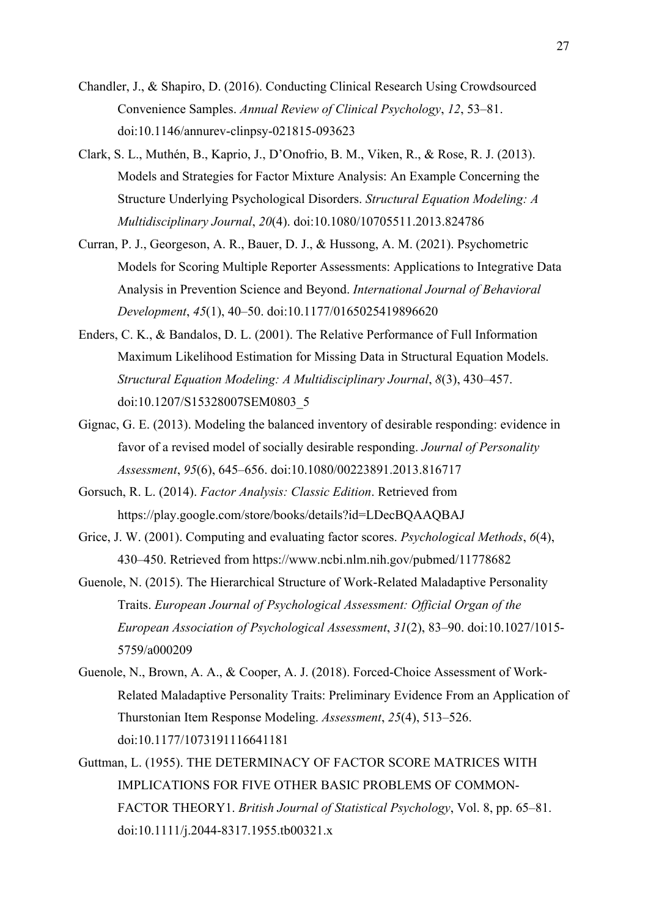- Chandler, J., & Shapiro, D. (2016). Conducting Clinical Research Using Crowdsourced Convenience Samples. *Annual Review of Clinical Psychology*, *12*, 53–81. doi:10.1146/annurev-clinpsy-021815-093623
- Clark, S. L., Muthén, B., Kaprio, J., D'Onofrio, B. M., Viken, R., & Rose, R. J. (2013). Models and Strategies for Factor Mixture Analysis: An Example Concerning the Structure Underlying Psychological Disorders. *Structural Equation Modeling: A Multidisciplinary Journal*, *20*(4). doi:10.1080/10705511.2013.824786
- Curran, P. J., Georgeson, A. R., Bauer, D. J., & Hussong, A. M. (2021). Psychometric Models for Scoring Multiple Reporter Assessments: Applications to Integrative Data Analysis in Prevention Science and Beyond. *International Journal of Behavioral Development*, *45*(1), 40–50. doi:10.1177/0165025419896620
- Enders, C. K., & Bandalos, D. L. (2001). The Relative Performance of Full Information Maximum Likelihood Estimation for Missing Data in Structural Equation Models. *Structural Equation Modeling: A Multidisciplinary Journal*, *8*(3), 430–457. doi:10.1207/S15328007SEM0803\_5
- Gignac, G. E. (2013). Modeling the balanced inventory of desirable responding: evidence in favor of a revised model of socially desirable responding. *Journal of Personality Assessment*, *95*(6), 645–656. doi:10.1080/00223891.2013.816717
- Gorsuch, R. L. (2014). *Factor Analysis: Classic Edition*. Retrieved from https://play.google.com/store/books/details?id=LDecBQAAQBAJ
- Grice, J. W. (2001). Computing and evaluating factor scores. *Psychological Methods*, *6*(4), 430–450. Retrieved from https://www.ncbi.nlm.nih.gov/pubmed/11778682
- Guenole, N. (2015). The Hierarchical Structure of Work-Related Maladaptive Personality Traits. *European Journal of Psychological Assessment: Official Organ of the European Association of Psychological Assessment*, *31*(2), 83–90. doi:10.1027/1015- 5759/a000209
- Guenole, N., Brown, A. A., & Cooper, A. J. (2018). Forced-Choice Assessment of Work-Related Maladaptive Personality Traits: Preliminary Evidence From an Application of Thurstonian Item Response Modeling. *Assessment*, *25*(4), 513–526. doi:10.1177/1073191116641181
- Guttman, L. (1955). THE DETERMINACY OF FACTOR SCORE MATRICES WITH IMPLICATIONS FOR FIVE OTHER BASIC PROBLEMS OF COMMON-FACTOR THEORY1. *British Journal of Statistical Psychology*, Vol. 8, pp. 65–81. doi:10.1111/j.2044-8317.1955.tb00321.x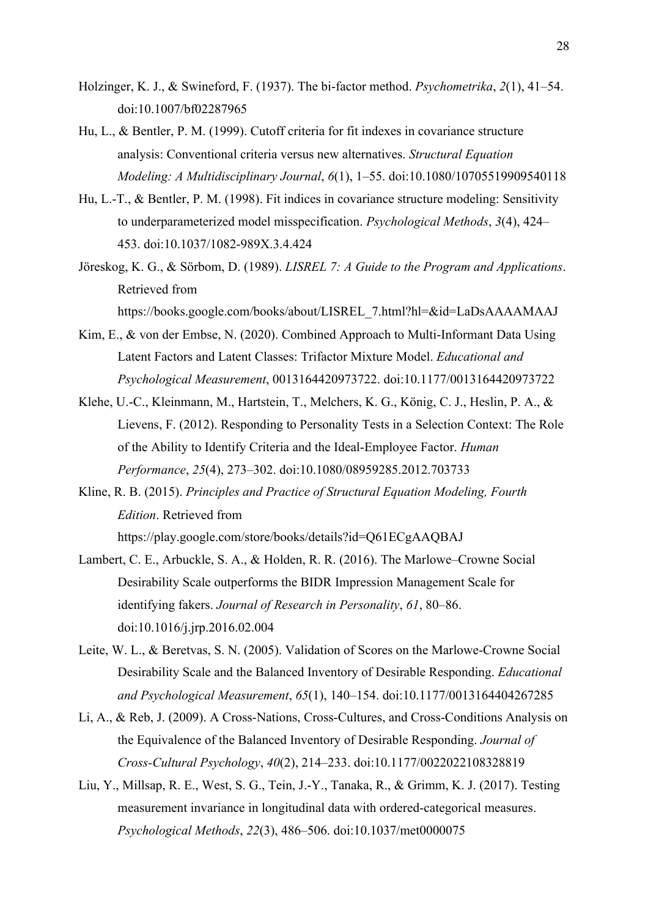- Holzinger, K. J., & Swineford, F. (1937). The bi-factor method. *Psychometrika*, *2*(1), 41–54. doi:10.1007/bf02287965
- Hu, L., & Bentler, P. M. (1999). Cutoff criteria for fit indexes in covariance structure analysis: Conventional criteria versus new alternatives. *Structural Equation Modeling: A Multidisciplinary Journal*, *6*(1), 1–55. doi:10.1080/10705519909540118
- Hu, L.-T., & Bentler, P. M. (1998). Fit indices in covariance structure modeling: Sensitivity to underparameterized model misspecification. *Psychological Methods*, *3*(4), 424– 453. doi:10.1037/1082-989X.3.4.424
- Jöreskog, K. G., & Sörbom, D. (1989). *LISREL 7: A Guide to the Program and Applications*. Retrieved from

https://books.google.com/books/about/LISREL\_7.html?hl=&id=LaDsAAAAMAAJ

- Kim, E., & von der Embse, N. (2020). Combined Approach to Multi-Informant Data Using Latent Factors and Latent Classes: Trifactor Mixture Model. *Educational and Psychological Measurement*, 0013164420973722. doi:10.1177/0013164420973722
- Klehe, U.-C., Kleinmann, M., Hartstein, T., Melchers, K. G., König, C. J., Heslin, P. A., & Lievens, F. (2012). Responding to Personality Tests in a Selection Context: The Role of the Ability to Identify Criteria and the Ideal-Employee Factor. *Human Performance*, *25*(4), 273–302. doi:10.1080/08959285.2012.703733
- Kline, R. B. (2015). *Principles and Practice of Structural Equation Modeling, Fourth Edition*. Retrieved from

https://play.google.com/store/books/details?id=Q61ECgAAQBAJ

- Lambert, C. E., Arbuckle, S. A., & Holden, R. R. (2016). The Marlowe–Crowne Social Desirability Scale outperforms the BIDR Impression Management Scale for identifying fakers. *Journal of Research in Personality*, *61*, 80–86. doi:10.1016/j.jrp.2016.02.004
- Leite, W. L., & Beretvas, S. N. (2005). Validation of Scores on the Marlowe-Crowne Social Desirability Scale and the Balanced Inventory of Desirable Responding. *Educational and Psychological Measurement*, *65*(1), 140–154. doi:10.1177/0013164404267285
- Li, A., & Reb, J. (2009). A Cross-Nations, Cross-Cultures, and Cross-Conditions Analysis on the Equivalence of the Balanced Inventory of Desirable Responding. *Journal of Cross-Cultural Psychology*, *40*(2), 214–233. doi:10.1177/0022022108328819
- Liu, Y., Millsap, R. E., West, S. G., Tein, J.-Y., Tanaka, R., & Grimm, K. J. (2017). Testing measurement invariance in longitudinal data with ordered-categorical measures. *Psychological Methods*, *22*(3), 486–506. doi:10.1037/met0000075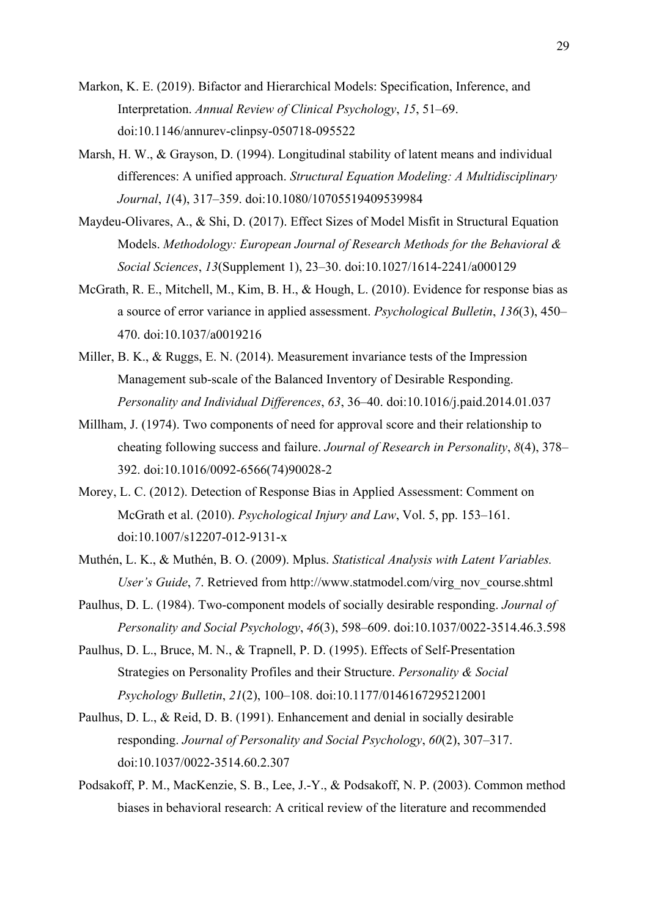- Markon, K. E. (2019). Bifactor and Hierarchical Models: Specification, Inference, and Interpretation. *Annual Review of Clinical Psychology*, *15*, 51–69. doi:10.1146/annurev-clinpsy-050718-095522
- Marsh, H. W., & Grayson, D. (1994). Longitudinal stability of latent means and individual differences: A unified approach. *Structural Equation Modeling: A Multidisciplinary Journal*, *1*(4), 317–359. doi:10.1080/10705519409539984
- Maydeu-Olivares, A., & Shi, D. (2017). Effect Sizes of Model Misfit in Structural Equation Models. *Methodology: European Journal of Research Methods for the Behavioral & Social Sciences*, *13*(Supplement 1), 23–30. doi:10.1027/1614-2241/a000129
- McGrath, R. E., Mitchell, M., Kim, B. H., & Hough, L. (2010). Evidence for response bias as a source of error variance in applied assessment. *Psychological Bulletin*, *136*(3), 450– 470. doi:10.1037/a0019216
- Miller, B. K., & Ruggs, E. N. (2014). Measurement invariance tests of the Impression Management sub-scale of the Balanced Inventory of Desirable Responding. *Personality and Individual Differences*, *63*, 36–40. doi:10.1016/j.paid.2014.01.037
- Millham, J. (1974). Two components of need for approval score and their relationship to cheating following success and failure. *Journal of Research in Personality*, *8*(4), 378– 392. doi:10.1016/0092-6566(74)90028-2
- Morey, L. C. (2012). Detection of Response Bias in Applied Assessment: Comment on McGrath et al. (2010). *Psychological Injury and Law*, Vol. 5, pp. 153–161. doi:10.1007/s12207-012-9131-x
- Muthén, L. K., & Muthén, B. O. (2009). Mplus. *Statistical Analysis with Latent Variables. User's Guide*, *7*. Retrieved from http://www.statmodel.com/virg\_nov\_course.shtml
- Paulhus, D. L. (1984). Two-component models of socially desirable responding. *Journal of Personality and Social Psychology*, *46*(3), 598–609. doi:10.1037/0022-3514.46.3.598
- Paulhus, D. L., Bruce, M. N., & Trapnell, P. D. (1995). Effects of Self-Presentation Strategies on Personality Profiles and their Structure. *Personality & Social Psychology Bulletin*, *21*(2), 100–108. doi:10.1177/0146167295212001
- Paulhus, D. L., & Reid, D. B. (1991). Enhancement and denial in socially desirable responding. *Journal of Personality and Social Psychology*, *60*(2), 307–317. doi:10.1037/0022-3514.60.2.307
- Podsakoff, P. M., MacKenzie, S. B., Lee, J.-Y., & Podsakoff, N. P. (2003). Common method biases in behavioral research: A critical review of the literature and recommended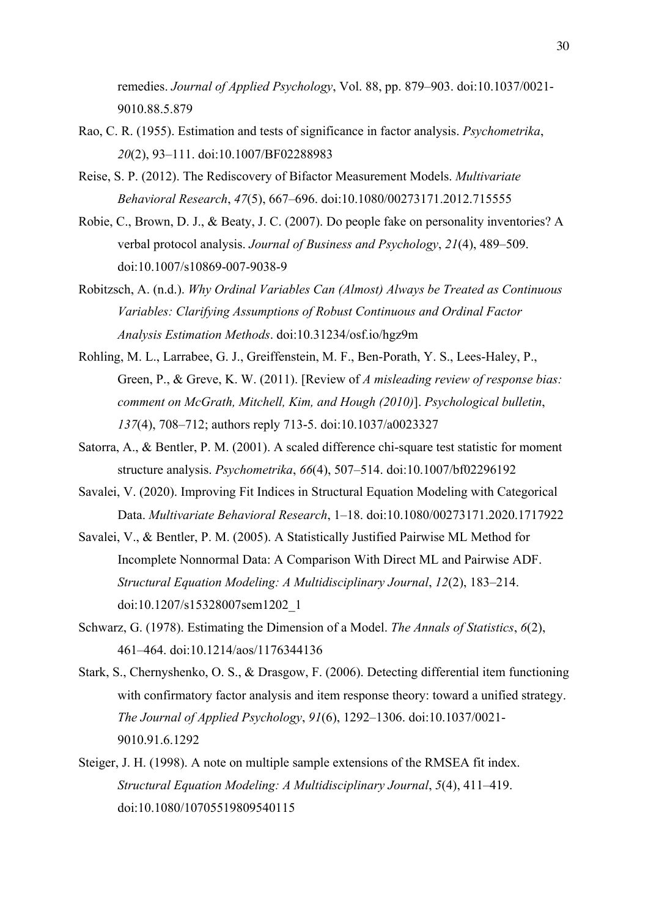remedies. *Journal of Applied Psychology*, Vol. 88, pp. 879–903. doi:10.1037/0021- 9010.88.5.879

- Rao, C. R. (1955). Estimation and tests of significance in factor analysis. *Psychometrika*, *20*(2), 93–111. doi:10.1007/BF02288983
- Reise, S. P. (2012). The Rediscovery of Bifactor Measurement Models. *Multivariate Behavioral Research*, *47*(5), 667–696. doi:10.1080/00273171.2012.715555
- Robie, C., Brown, D. J., & Beaty, J. C. (2007). Do people fake on personality inventories? A verbal protocol analysis. *Journal of Business and Psychology*, *21*(4), 489–509. doi:10.1007/s10869-007-9038-9
- Robitzsch, A. (n.d.). *Why Ordinal Variables Can (Almost) Always be Treated as Continuous Variables: Clarifying Assumptions of Robust Continuous and Ordinal Factor Analysis Estimation Methods*. doi:10.31234/osf.io/hgz9m
- Rohling, M. L., Larrabee, G. J., Greiffenstein, M. F., Ben-Porath, Y. S., Lees-Haley, P., Green, P., & Greve, K. W. (2011). [Review of *A misleading review of response bias: comment on McGrath, Mitchell, Kim, and Hough (2010)*]. *Psychological bulletin*, *137*(4), 708–712; authors reply 713-5. doi:10.1037/a0023327
- Satorra, A., & Bentler, P. M. (2001). A scaled difference chi-square test statistic for moment structure analysis. *Psychometrika*, *66*(4), 507–514. doi:10.1007/bf02296192
- Savalei, V. (2020). Improving Fit Indices in Structural Equation Modeling with Categorical Data. *Multivariate Behavioral Research*, 1–18. doi:10.1080/00273171.2020.1717922
- Savalei, V., & Bentler, P. M. (2005). A Statistically Justified Pairwise ML Method for Incomplete Nonnormal Data: A Comparison With Direct ML and Pairwise ADF. *Structural Equation Modeling: A Multidisciplinary Journal*, *12*(2), 183–214. doi:10.1207/s15328007sem1202\_1
- Schwarz, G. (1978). Estimating the Dimension of a Model. *The Annals of Statistics*, *6*(2), 461–464. doi:10.1214/aos/1176344136
- Stark, S., Chernyshenko, O. S., & Drasgow, F. (2006). Detecting differential item functioning with confirmatory factor analysis and item response theory: toward a unified strategy. *The Journal of Applied Psychology*, *91*(6), 1292–1306. doi:10.1037/0021- 9010.91.6.1292
- Steiger, J. H. (1998). A note on multiple sample extensions of the RMSEA fit index. *Structural Equation Modeling: A Multidisciplinary Journal*, *5*(4), 411–419. doi:10.1080/10705519809540115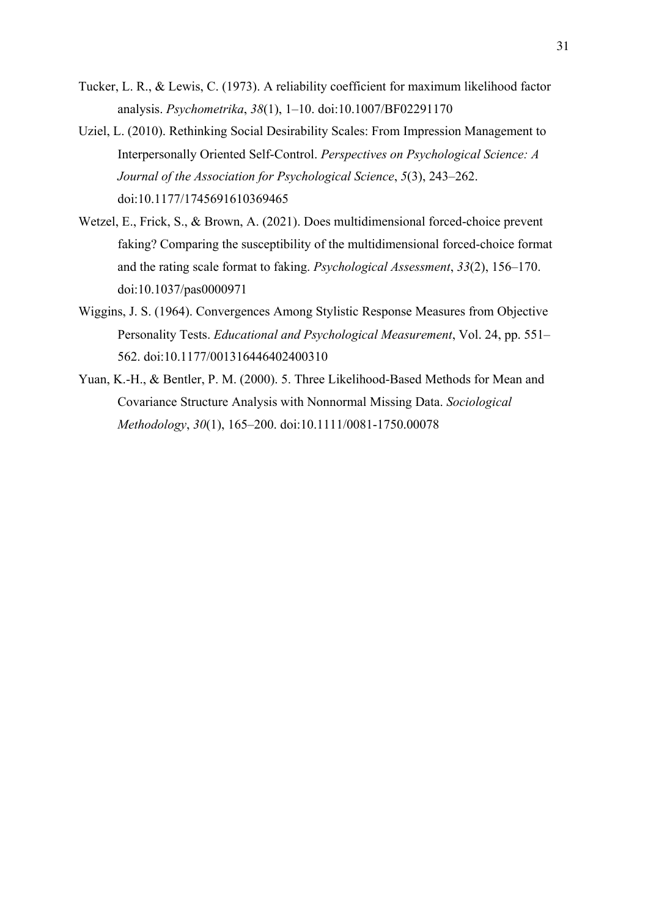- Tucker, L. R., & Lewis, C. (1973). A reliability coefficient for maximum likelihood factor analysis. *Psychometrika*, *38*(1), 1–10. doi:10.1007/BF02291170
- Uziel, L. (2010). Rethinking Social Desirability Scales: From Impression Management to Interpersonally Oriented Self-Control. *Perspectives on Psychological Science: A Journal of the Association for Psychological Science*, *5*(3), 243–262. doi:10.1177/1745691610369465
- Wetzel, E., Frick, S., & Brown, A. (2021). Does multidimensional forced-choice prevent faking? Comparing the susceptibility of the multidimensional forced-choice format and the rating scale format to faking. *Psychological Assessment*, *33*(2), 156–170. doi:10.1037/pas0000971
- Wiggins, J. S. (1964). Convergences Among Stylistic Response Measures from Objective Personality Tests. *Educational and Psychological Measurement*, Vol. 24, pp. 551– 562. doi:10.1177/001316446402400310
- Yuan, K.-H., & Bentler, P. M. (2000). 5. Three Likelihood-Based Methods for Mean and Covariance Structure Analysis with Nonnormal Missing Data. *Sociological Methodology*, *30*(1), 165–200. doi:10.1111/0081-1750.00078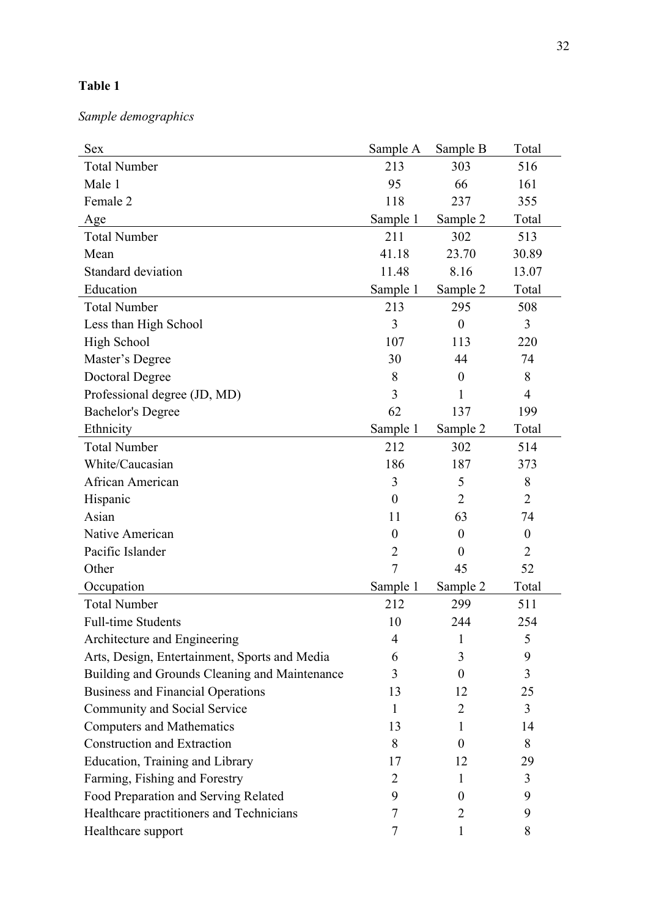*Sample demographics*

| <b>Sex</b>                                    | Sample A       | Sample B         | Total            |
|-----------------------------------------------|----------------|------------------|------------------|
| <b>Total Number</b>                           | 213            | 303              | 516              |
| Male 1                                        | 95             | 66               | 161              |
| Female 2                                      | 118            | 237              | 355              |
| Age                                           | Sample 1       | Sample 2         | Total            |
| <b>Total Number</b>                           | 211            | 302              | 513              |
| Mean                                          | 41.18          | 23.70            | 30.89            |
| Standard deviation                            | 11.48          | 8.16             | 13.07            |
| Education                                     | Sample 1       | Sample 2         | Total            |
| <b>Total Number</b>                           | 213            | 295              | 508              |
| Less than High School                         | 3              | $\boldsymbol{0}$ | 3                |
| <b>High School</b>                            | 107            | 113              | 220              |
| Master's Degree                               | 30             | 44               | 74               |
| <b>Doctoral Degree</b>                        | 8              | $\boldsymbol{0}$ | 8                |
| Professional degree (JD, MD)                  | 3              | 1                | $\overline{4}$   |
| <b>Bachelor's Degree</b>                      | 62             | 137              | 199              |
| Ethnicity                                     | Sample 1       | Sample 2         | Total            |
| <b>Total Number</b>                           | 212            | 302              | 514              |
| White/Caucasian                               | 186            | 187              | 373              |
| African American                              | 3              | 5                | 8                |
| Hispanic                                      | $\theta$       | 2                | $\overline{2}$   |
| Asian                                         | 11             | 63               | 74               |
| Native American                               | $\theta$       | $\boldsymbol{0}$ | $\boldsymbol{0}$ |
| Pacific Islander                              | $\overline{2}$ | $\theta$         | $\overline{2}$   |
| Other                                         | $\overline{7}$ | 45               | 52               |
| Occupation                                    | Sample 1       | Sample 2         | Total            |
| <b>Total Number</b>                           | 212            | 299              | 511              |
| <b>Full-time Students</b>                     | 10             | 244              | 254              |
| Architecture and Engineering                  | 4              | 1                | 5                |
| Arts, Design, Entertainment, Sports and Media | 6              | 3                | 9                |
| Building and Grounds Cleaning and Maintenance | 3              | $\overline{0}$   | 3                |
| <b>Business and Financial Operations</b>      | 13             | 12               | 25               |
| Community and Social Service                  | 1              | 2                | 3                |
| <b>Computers and Mathematics</b>              | 13             | 1                | 14               |
| <b>Construction and Extraction</b>            | 8              | $\Omega$         | 8                |
| Education, Training and Library               | 17             | 12               | 29               |
| Farming, Fishing and Forestry                 | 2              | 1                | 3                |
| Food Preparation and Serving Related          | 9              | 0                | 9                |
| Healthcare practitioners and Technicians      | 7              | 2                | 9                |
| Healthcare support                            | 7              |                  | 8                |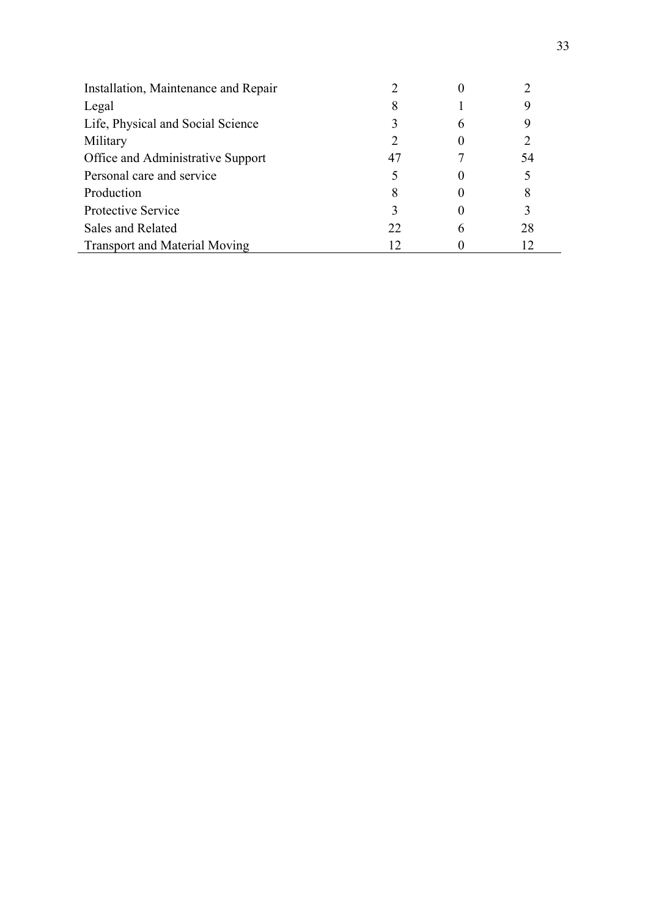| Installation, Maintenance and Repair |    |    |
|--------------------------------------|----|----|
| Legal                                | 8  |    |
| Life, Physical and Social Science    |    |    |
| Military                             |    |    |
| Office and Administrative Support    | 47 | 54 |
| Personal care and service            |    |    |
| Production                           | 8  |    |
| Protective Service                   | 3  |    |
| Sales and Related                    | 22 | 28 |
| <b>Transport and Material Moving</b> |    |    |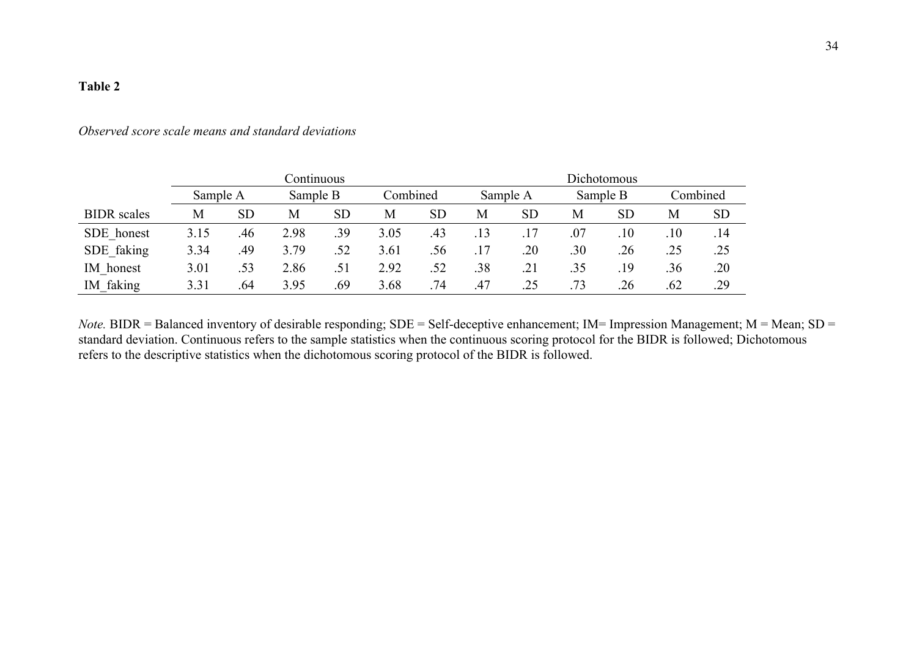# *Observed score scale means and standard deviations*

|                    | Continuous |           |          |           |          |           |          | Dichotomous |          |           |          |           |  |
|--------------------|------------|-----------|----------|-----------|----------|-----------|----------|-------------|----------|-----------|----------|-----------|--|
|                    | Sample A   |           | Sample B |           | Combined |           | Sample A |             | Sample B |           | Combined |           |  |
| <b>BIDR</b> scales | М          | <b>SD</b> | М        | <b>SD</b> | M        | <b>SD</b> | М        | <b>SD</b>   | М        | <b>SD</b> | M        | <b>SD</b> |  |
| SDE honest         | 3.15       | .46       | 2.98     | .39       | 3.05     | .43       | .13      | .17         | .07      | $.10\,$   | .10      | .14       |  |
| SDE faking         | 3.34       | .49       | 3.79     | .52       | 3.61     | .56       |          | .20         | .30      | .26       | .25      | .25       |  |
| IM honest          | 3.01       | .53       | 2.86     | .51       | 2.92     | .52       | .38      | .21         | .35      | .19       | .36      | .20       |  |
| IM faking          | 3.31       | .64       | 3.95     | .69       | 3.68     | .74       | .47      | .25         | .73      | .26       | .62      | .29       |  |

*Note*. BIDR = Balanced inventory of desirable responding; SDE = Self-deceptive enhancement; IM= Impression Management; M = Mean; SD = standard deviation. Continuous refers to the sample statistics when the continuous scoring protocol for the BIDR is followed; Dichotomous refers to the descriptive statistics when the dichotomous scoring protocol of the BIDR is followed.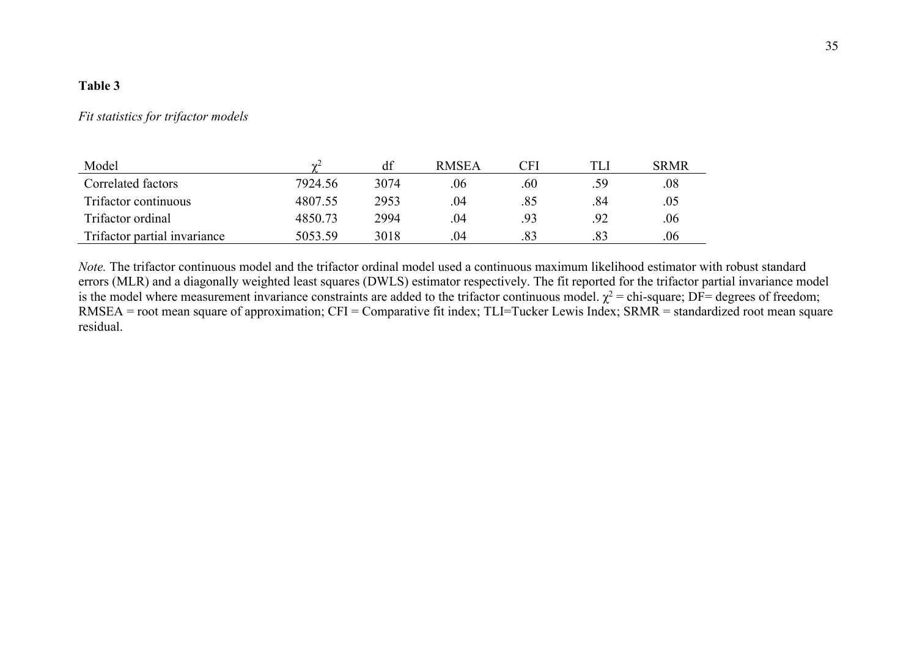## *Fit statistics for trifactor models*

| Model                        | $\sim$  | df   | <b>RMSEA</b> | CFI | TLI | <b>SRMR</b> |
|------------------------------|---------|------|--------------|-----|-----|-------------|
| Correlated factors           | 7924.56 | 3074 | .06          | .60 | .59 | .08         |
| Trifactor continuous         | 4807.55 | 2953 | .04          | .85 | .84 | .05         |
| Trifactor ordinal            | 4850.73 | 2994 | .04          | .93 | .92 | .06         |
| Trifactor partial invariance | 5053.59 | 3018 | .04          | .83 | .83 | .06         |

*Note.* The trifactor continuous model and the trifactor ordinal model used a continuous maximum likelihood estimator with robust standard errors (MLR) and a diagonally weighted least squares (DWLS) estimator respectively. The fit reported for the trifactor partial invariance model is the model where measurement invariance constraints are added to the trifactor continuous model.  $\chi^2$  = chi-square; DF= degrees of freedom; RMSEA = root mean square of approximation; CFI = Comparative fit index; TLI=Tucker Lewis Index; SRMR = standardized root mean square residual.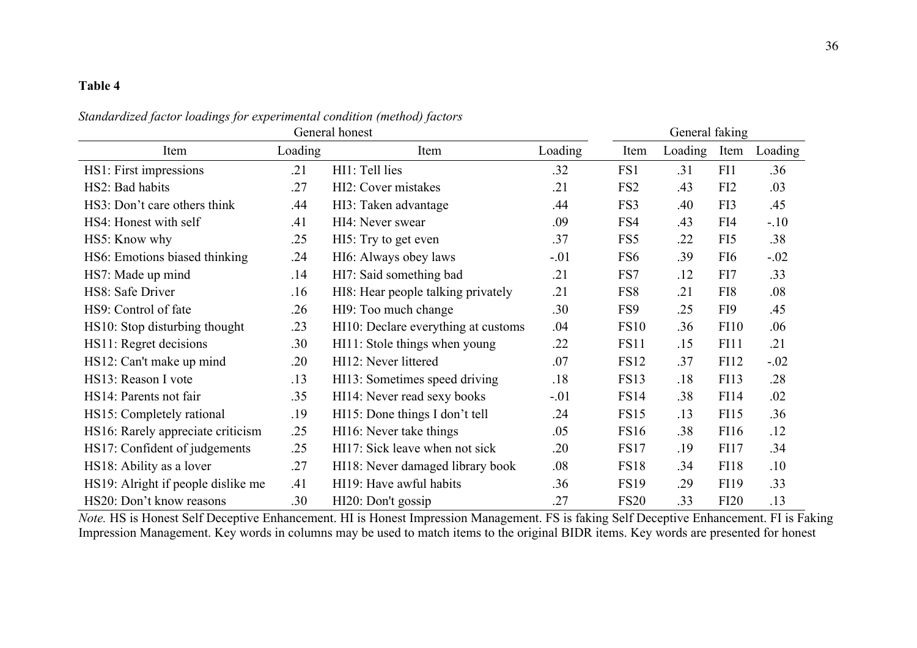*Standardized factor loadings for experimental condition (method) factors*

|                                    | General faking |                                     |         |                 |         |                 |         |
|------------------------------------|----------------|-------------------------------------|---------|-----------------|---------|-----------------|---------|
| Item                               | Loading        | Item                                | Loading | Item            | Loading | Item            | Loading |
| HS1: First impressions             | .21            | HI1: Tell lies                      | .32     | FS1             | .31     | FI1             | .36     |
| HS2: Bad habits                    | .27            | HI2: Cover mistakes                 | .21     | FS <sub>2</sub> | .43     | FI <sub>2</sub> | .03     |
| HS3: Don't care others think       | .44            | HI3: Taken advantage                | .44     | FS3             | .40     | FI3             | .45     |
| HS4: Honest with self              | .41            | HI4: Never swear                    | .09     | FS4             | .43     | FI4             | $-.10$  |
| HS5: Know why                      | .25            | HI5: Try to get even                | .37     | FS5             | .22     | FI5             | .38     |
| HS6: Emotions biased thinking      | .24            | HI6: Always obey laws               | $-.01$  | FS <sub>6</sub> | .39     | FI <sub>6</sub> | $-.02$  |
| HS7: Made up mind                  | .14            | HI7: Said something bad             | .21     | FS7             | .12     | FI7             | .33     |
| HS8: Safe Driver                   | .16            | HI8: Hear people talking privately  | .21     | FS8             | .21     | FI8             | .08     |
| HS9: Control of fate               | .26            | HI9: Too much change                | .30     | FS9             | .25     | FI9             | .45     |
| HS10: Stop disturbing thought      | .23            | HI10: Declare everything at customs | .04     | <b>FS10</b>     | .36     | <b>FI10</b>     | .06     |
| HS11: Regret decisions             | .30            | HI11: Stole things when young       | .22     | <b>FS11</b>     | .15     | FI11            | .21     |
| HS12: Can't make up mind           | .20            | HI12: Never littered                | .07     | <b>FS12</b>     | .37     | FI12            | $-.02$  |
| HS13: Reason I vote                | .13            | HI13: Sometimes speed driving       | .18     | <b>FS13</b>     | .18     | FI13            | .28     |
| HS14: Parents not fair             | .35            | HI14: Never read sexy books         | $-.01$  | <b>FS14</b>     | .38     | FI14            | .02     |
| HS15: Completely rational          | .19            | HI15: Done things I don't tell      | .24     | <b>FS15</b>     | .13     | FI15            | .36     |
| HS16: Rarely appreciate criticism  | .25            | HI16: Never take things             | .05     | <b>FS16</b>     | .38     | FI16            | .12     |
| HS17: Confident of judgements      | .25            | HI17: Sick leave when not sick      | .20     | <b>FS17</b>     | .19     | <b>FI17</b>     | .34     |
| HS18: Ability as a lover           | .27            | HI18: Never damaged library book    | .08     | <b>FS18</b>     | .34     | <b>FI18</b>     | .10     |
| HS19: Alright if people dislike me | .41            | HI19: Have awful habits             | .36     | <b>FS19</b>     | .29     | FI19            | .33     |
| HS20: Don't know reasons           | .30            | HI20: Don't gossip                  | .27     | <b>FS20</b>     | .33     | <b>FI20</b>     | .13     |

*Note.* HS is Honest Self Deceptive Enhancement. HI is Honest Impression Management. FS is faking Self Deceptive Enhancement. FI is Faking Impression Management. Key words in columns may be used to match items to the original BIDR items. Key words are presented for honest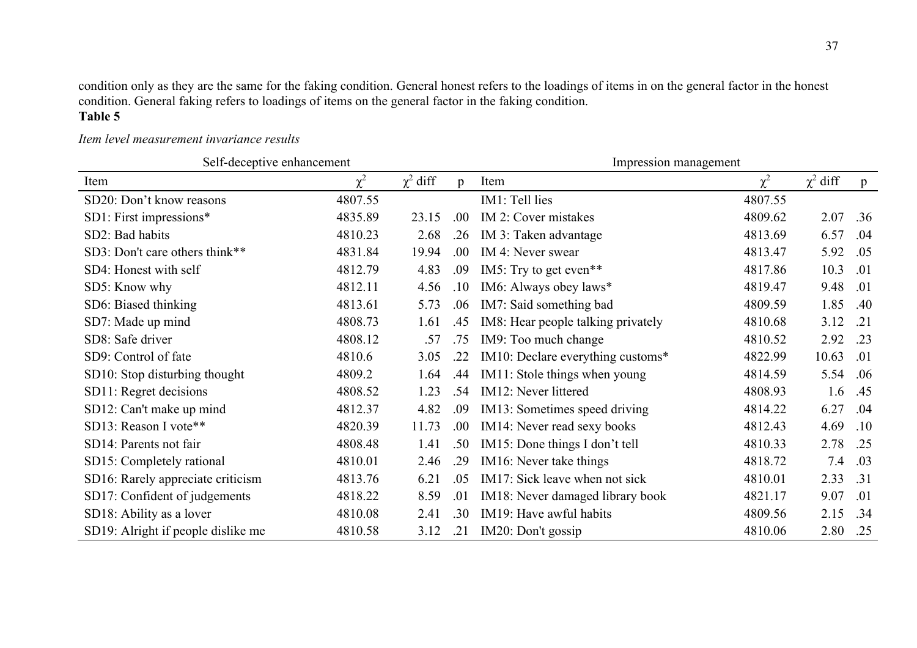condition only as they are the same for the faking condition. General honest refers to the loadings of items in on the general factor in the honest condition. General faking refers to loadings of items on the general factor in the faking condition.

# **Table 5**

# *Item level measurement invariance results*

| Self-deceptive enhancement         |          |               |                | Impression management              |          |               |              |  |  |  |
|------------------------------------|----------|---------------|----------------|------------------------------------|----------|---------------|--------------|--|--|--|
| Item                               | $\chi^2$ | $\chi^2$ diff | $\mathfrak{p}$ | Item                               | $\chi^2$ | $\chi^2$ diff | $\mathbf{p}$ |  |  |  |
| SD20: Don't know reasons           | 4807.55  |               |                | IM1: Tell lies                     | 4807.55  |               |              |  |  |  |
| SD1: First impressions*            | 4835.89  | 23.15         | .00            | IM 2: Cover mistakes               | 4809.62  | 2.07          | .36          |  |  |  |
| SD2: Bad habits                    | 4810.23  | 2.68          | .26            | IM 3: Taken advantage              | 4813.69  | 6.57          | .04          |  |  |  |
| SD3: Don't care others think**     | 4831.84  | 19.94         | .00            | IM 4: Never swear                  | 4813.47  | 5.92          | .05          |  |  |  |
| SD4: Honest with self              | 4812.79  | 4.83          | .09            | IM5: Try to get even**             | 4817.86  | 10.3          | .01          |  |  |  |
| SD5: Know why                      | 4812.11  | 4.56          | .10            | IM6: Always obey laws*             | 4819.47  | 9.48          | .01          |  |  |  |
| SD6: Biased thinking               | 4813.61  | 5.73          | .06            | IM7: Said something bad            | 4809.59  | 1.85          | .40          |  |  |  |
| SD7: Made up mind                  | 4808.73  | 1.61          | .45            | IM8: Hear people talking privately | 4810.68  | 3.12          | .21          |  |  |  |
| SD8: Safe driver                   | 4808.12  | .57           | .75            | IM9: Too much change               | 4810.52  | 2.92          | .23          |  |  |  |
| SD9: Control of fate               | 4810.6   | 3.05          | .22            | IM10: Declare everything customs*  | 4822.99  | 10.63         | .01          |  |  |  |
| SD10: Stop disturbing thought      | 4809.2   | 1.64          | .44            | IM11: Stole things when young      | 4814.59  | 5.54          | .06          |  |  |  |
| SD11: Regret decisions             | 4808.52  | 1.23          | .54            | IM12: Never littered               | 4808.93  | 1.6           | .45          |  |  |  |
| SD12: Can't make up mind           | 4812.37  | 4.82          | .09            | IM13: Sometimes speed driving      | 4814.22  | 6.27          | .04          |  |  |  |
| SD13: Reason I vote**              | 4820.39  | 11.73         | .00            | IM14: Never read sexy books        | 4812.43  | 4.69          | .10          |  |  |  |
| SD14: Parents not fair             | 4808.48  | 1.41          | .50            | IM15: Done things I don't tell     | 4810.33  | 2.78          | .25          |  |  |  |
| SD15: Completely rational          | 4810.01  | 2.46          | .29            | IM16: Never take things            | 4818.72  | 7.4           | .03          |  |  |  |
| SD16: Rarely appreciate criticism  | 4813.76  | 6.21          | .05            | IM17: Sick leave when not sick     | 4810.01  | 2.33          | .31          |  |  |  |
| SD17: Confident of judgements      | 4818.22  | 8.59          | .01            | IM18: Never damaged library book   | 4821.17  | 9.07          | .01          |  |  |  |
| SD18: Ability as a lover           | 4810.08  | 2.41          | .30            | IM19: Have awful habits            | 4809.56  | 2.15          | .34          |  |  |  |
| SD19: Alright if people dislike me | 4810.58  | 3.12          | .21            | IM20: Don't gossip                 | 4810.06  | 2.80          | .25          |  |  |  |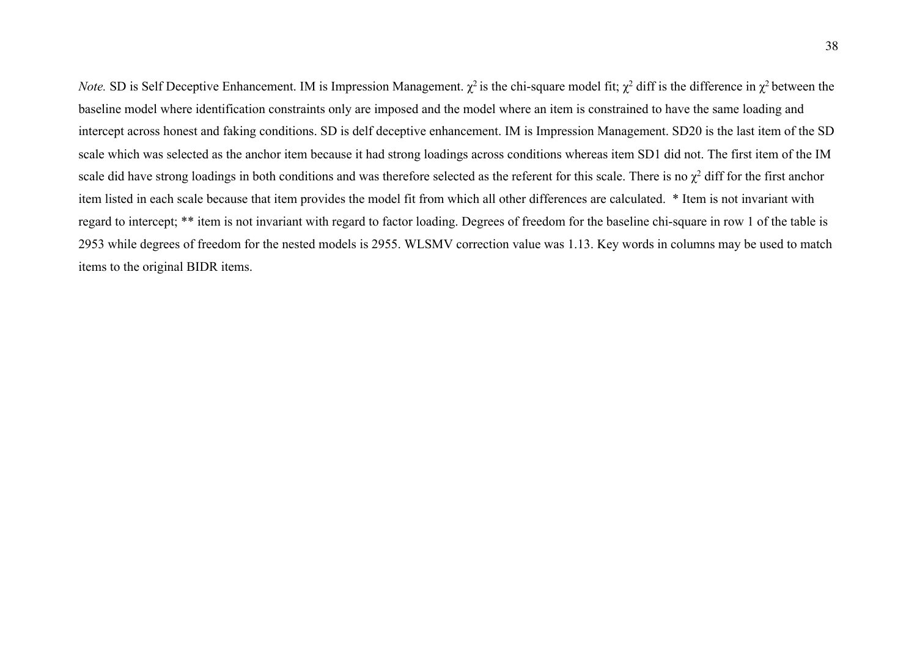*Note.* SD is Self Deceptive Enhancement. IM is Impression Management.  $\chi^2$  is the chi-square model fit;  $\chi^2$  diff is the difference in  $\chi^2$  between the baseline model where identification constraints only are imposed and the model where an item is constrained to have the same loading and intercept across honest and faking conditions. SD is delf deceptive enhancement. IM is Impression Management. SD20 is the last item of the SD scale which was selected as the anchor item because it had strong loadings across conditions whereas item SD1 did not. The first item of the IM scale did have strong loadings in both conditions and was therefore selected as the referent for this scale. There is no  $\chi^2$  diff for the first anchor item listed in each scale because that item provides the model fit from which all other differences are calculated. \* Item is not invariant with regard to intercept; \*\* item is not invariant with regard to factor loading. Degrees of freedom for the baseline chi-square in row 1 of the table is 2953 while degrees of freedom for the nested models is 2955. WLSMV correction value was 1.13. Key words in columns may be used to match items to the original BIDR items.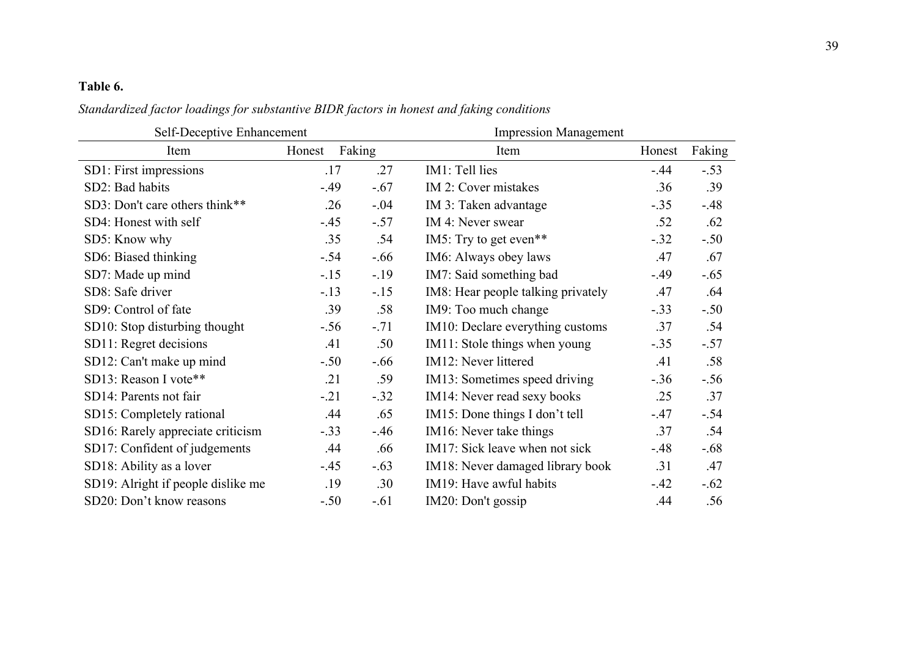# **Table 6.**

*Standardized factor loadings for substantive BIDR factors in honest and faking conditions*

| Self-Deceptive Enhancement         |        |        | <b>Impression Management</b> |                                    |        |        |  |  |
|------------------------------------|--------|--------|------------------------------|------------------------------------|--------|--------|--|--|
| Item                               | Honest | Faking |                              | Item                               | Honest | Faking |  |  |
| SD1: First impressions             | .17    |        | .27                          | IM1: Tell lies                     | $-.44$ | $-.53$ |  |  |
| SD2: Bad habits                    | $-.49$ |        | $-.67$                       | IM 2: Cover mistakes               | .36    | .39    |  |  |
| SD3: Don't care others think**     |        | .26    | $-.04$                       | IM 3: Taken advantage              | $-.35$ | $-.48$ |  |  |
| SD4: Honest with self              | $-.45$ |        | $-.57$                       | IM 4: Never swear                  | .52    | .62    |  |  |
| SD5: Know why                      |        | .35    | .54                          | IM5: Try to get even**             | $-.32$ | $-.50$ |  |  |
| SD6: Biased thinking               | $-.54$ |        | $-.66$                       | IM6: Always obey laws              | .47    | .67    |  |  |
| SD7: Made up mind                  | $-.15$ |        | $-.19$                       | IM7: Said something bad            | $-.49$ | $-.65$ |  |  |
| SD8: Safe driver                   | $-.13$ |        | $-.15$                       | IM8: Hear people talking privately | .47    | .64    |  |  |
| SD9: Control of fate               |        | .39    | .58                          | IM9: Too much change               | $-.33$ | $-.50$ |  |  |
| SD10: Stop disturbing thought      | $-.56$ |        | $-.71$                       | IM10: Declare everything customs   | .37    | .54    |  |  |
| SD11: Regret decisions             | .41    |        | .50                          | IM11: Stole things when young      | $-.35$ | $-.57$ |  |  |
| SD12: Can't make up mind           | $-.50$ |        | $-.66$                       | IM12: Never littered               | .41    | .58    |  |  |
| SD13: Reason I vote**              | .21    |        | .59                          | IM13: Sometimes speed driving      | $-.36$ | $-.56$ |  |  |
| SD14: Parents not fair             | $-.21$ |        | $-.32$                       | IM14: Never read sexy books        | .25    | .37    |  |  |
| SD15: Completely rational          |        | .44    | .65                          | IM15: Done things I don't tell     | $-.47$ | $-.54$ |  |  |
| SD16: Rarely appreciate criticism  | $-.33$ |        | $-.46$                       | IM16: Never take things            | .37    | .54    |  |  |
| SD17: Confident of judgements      |        | .44    | .66                          | IM17: Sick leave when not sick     | $-.48$ | $-.68$ |  |  |
| SD18: Ability as a lover           | $-.45$ |        | $-.63$                       | IM18: Never damaged library book   | .31    | .47    |  |  |
| SD19: Alright if people dislike me |        | .19    | .30                          | IM19: Have awful habits            | $-.42$ | $-.62$ |  |  |
| SD20: Don't know reasons           | $-.50$ |        | $-.61$                       | IM20: Don't gossip                 | .44    | .56    |  |  |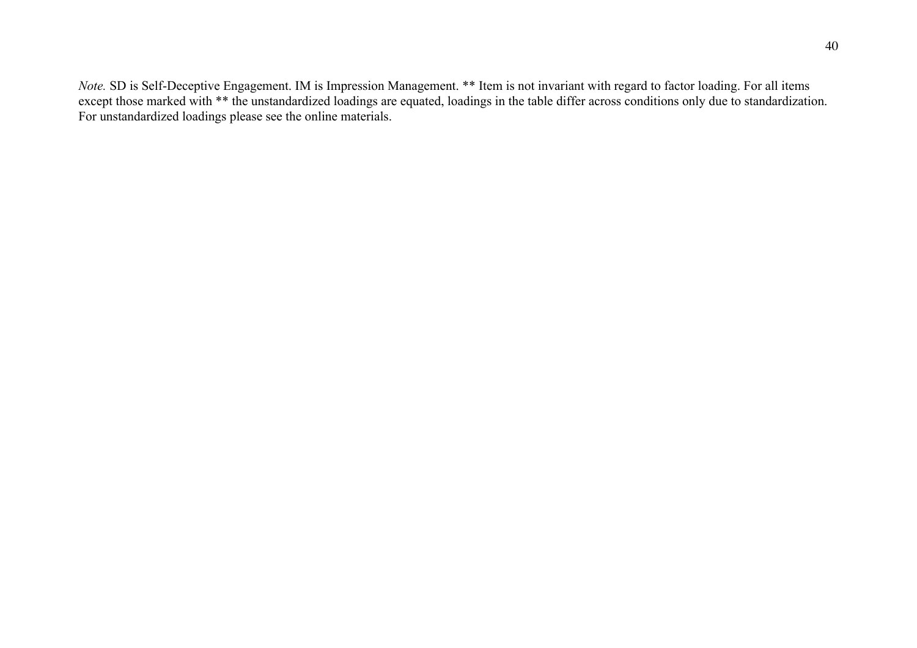*Note.* SD is Self-Deceptive Engagement. IM is Impression Management. \*\* Item is not invariant with regard to factor loading. For all items except those marked with \*\* the unstandardized loadings are equated, loadings in the table differ across conditions only due to standardization. For unstandardized loadings please see the online materials.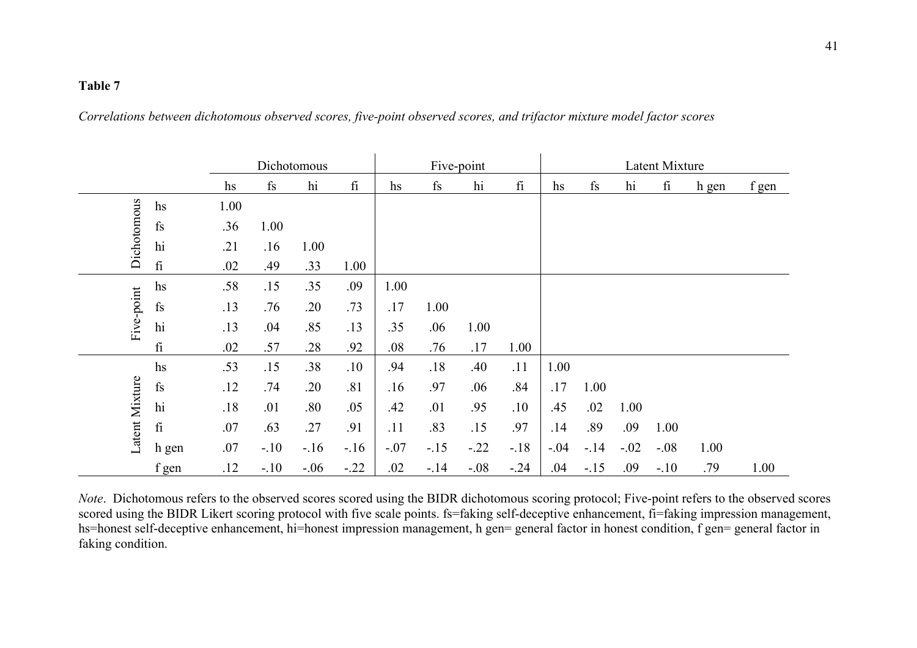*Correlations between dichotomous observed scores, five-point observed scores, and trifactor mixture model factor scores*

|                |               |      |               | Dichotomous |           | Five-point |        |        | Latent Mixture |        |               |        |        |       |       |
|----------------|---------------|------|---------------|-------------|-----------|------------|--------|--------|----------------|--------|---------------|--------|--------|-------|-------|
|                |               | hs   | $\mathbf{fs}$ | hi          | $\rm{fi}$ | hs         | fs     | hi     | $\rm{f}i$      | hs     | $\mathbf{fs}$ | hi     | fi     | h gen | f gen |
|                | hs            | 1.00 |               |             |           |            |        |        |                |        |               |        |        |       |       |
| Dichotomous    | fs            | .36  | 1.00          |             |           |            |        |        |                |        |               |        |        |       |       |
|                | hi            | .21  | .16           | 1.00        |           |            |        |        |                |        |               |        |        |       |       |
|                | $\rm{f}i$     | .02  | .49           | .33         | 1.00      |            |        |        |                |        |               |        |        |       |       |
|                | hs            | .58  | .15           | .35         | .09       | 1.00       |        |        |                |        |               |        |        |       |       |
| Five-point     | fs            | .13  | .76           | .20         | .73       | .17        | 1.00   |        |                |        |               |        |        |       |       |
|                | hi            | .13  | .04           | .85         | .13       | .35        | .06    | 1.00   |                |        |               |        |        |       |       |
|                | $\rm{f}i$     | .02  | .57           | .28         | .92       | .08        | .76    | .17    | 1.00           |        |               |        |        |       |       |
|                | hs            | .53  | .15           | .38         | .10       | .94        | .18    | .40    | .11            | 1.00   |               |        |        |       |       |
|                | $\mathbf{fs}$ | .12  | .74           | .20         | .81       | .16        | .97    | .06    | .84            | .17    | 1.00          |        |        |       |       |
|                | hi            | .18  | .01           | .80         | .05       | .42        | .01    | .95    | .10            | .45    | .02           | 1.00   |        |       |       |
| Latent Mixture | $\rm{fi}$     | .07  | .63           | .27         | .91       | .11        | .83    | .15    | .97            | .14    | .89           | .09    | 1.00   |       |       |
|                | h gen         | .07  | $-.10$        | $-.16$      | $-.16$    | $-.07$     | $-.15$ | $-.22$ | $-.18$         | $-.04$ | $-.14$        | $-.02$ | $-.08$ | 1.00  |       |
|                | f gen         | .12  | $-.10$        | $-.06$      | $-.22$    | .02        | $-.14$ | $-.08$ | $-.24$         | .04    | $-.15$        | .09    | $-.10$ | .79   | 1.00  |

*Note*. Dichotomous refers to the observed scores scored using the BIDR dichotomous scoring protocol; Five-point refers to the observed scores scored using the BIDR Likert scoring protocol with five scale points. fs=faking self-deceptive enhancement, fi=faking impression management, hs=honest self-deceptive enhancement, hi=honest impression management, h gen= general factor in honest condition, f gen= general factor in faking condition.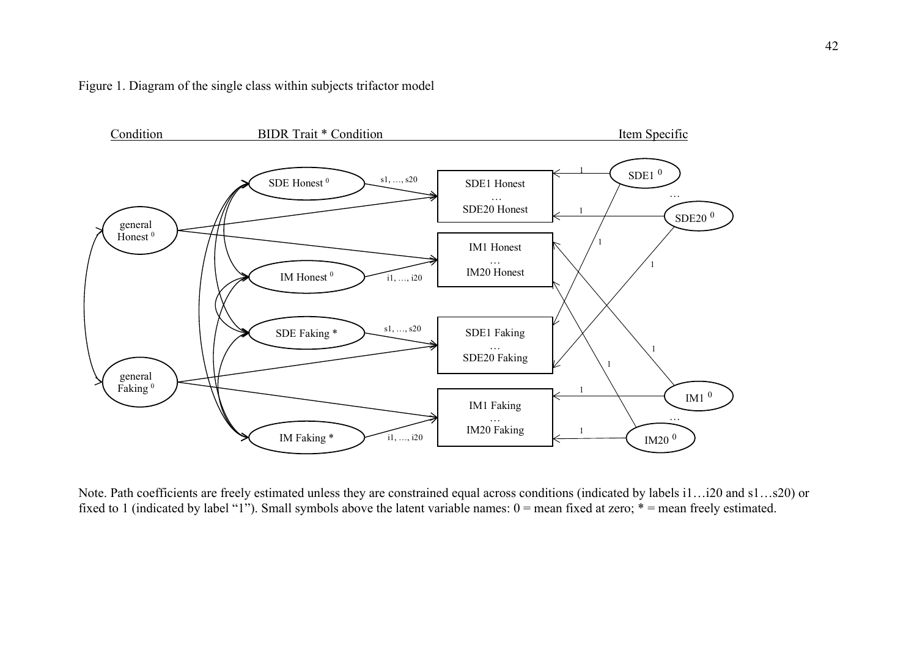



Note. Path coefficients are freely estimated unless they are constrained equal across conditions (indicated by labels i1…i20 and s1…s20) or fixed to 1 (indicated by label "1"). Small symbols above the latent variable names: 0 = mean fixed at zero; \* = mean freely estimated.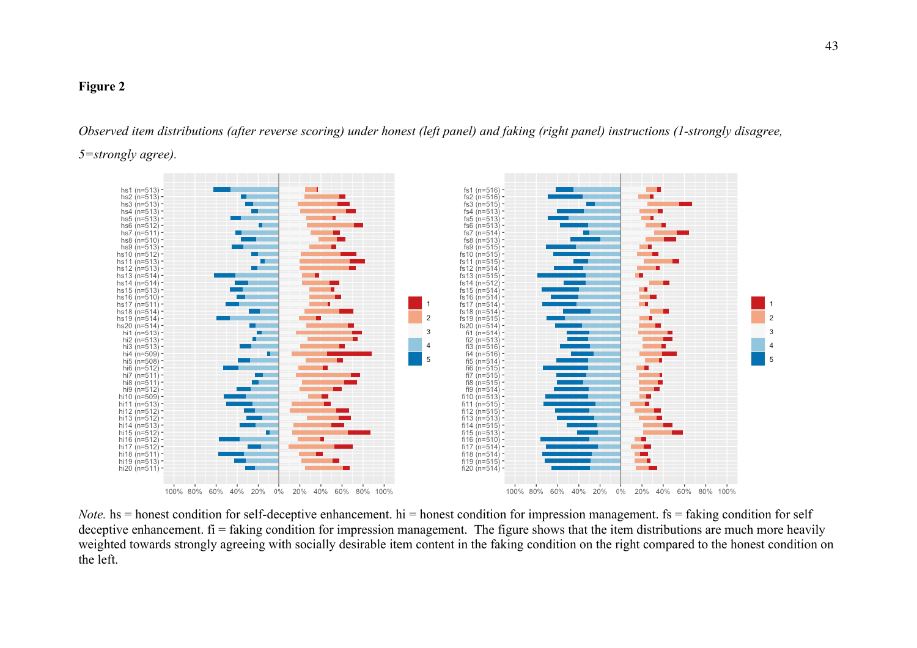# **Figure 2**

*Observed item distributions (after reverse scoring) under honest (left panel) and faking (right panel) instructions (1-strongly disagree, 5=strongly agree).*



*Note.* hs = honest condition for self-deceptive enhancement. hi = honest condition for impression management. fs = faking condition for self deceptive enhancement.  $f_i$  = faking condition for impression management. The figure shows that the item distributions are much more heavily weighted towards strongly agreeing with socially desirable item content in the faking condition on the right compared to the honest condition on the left.